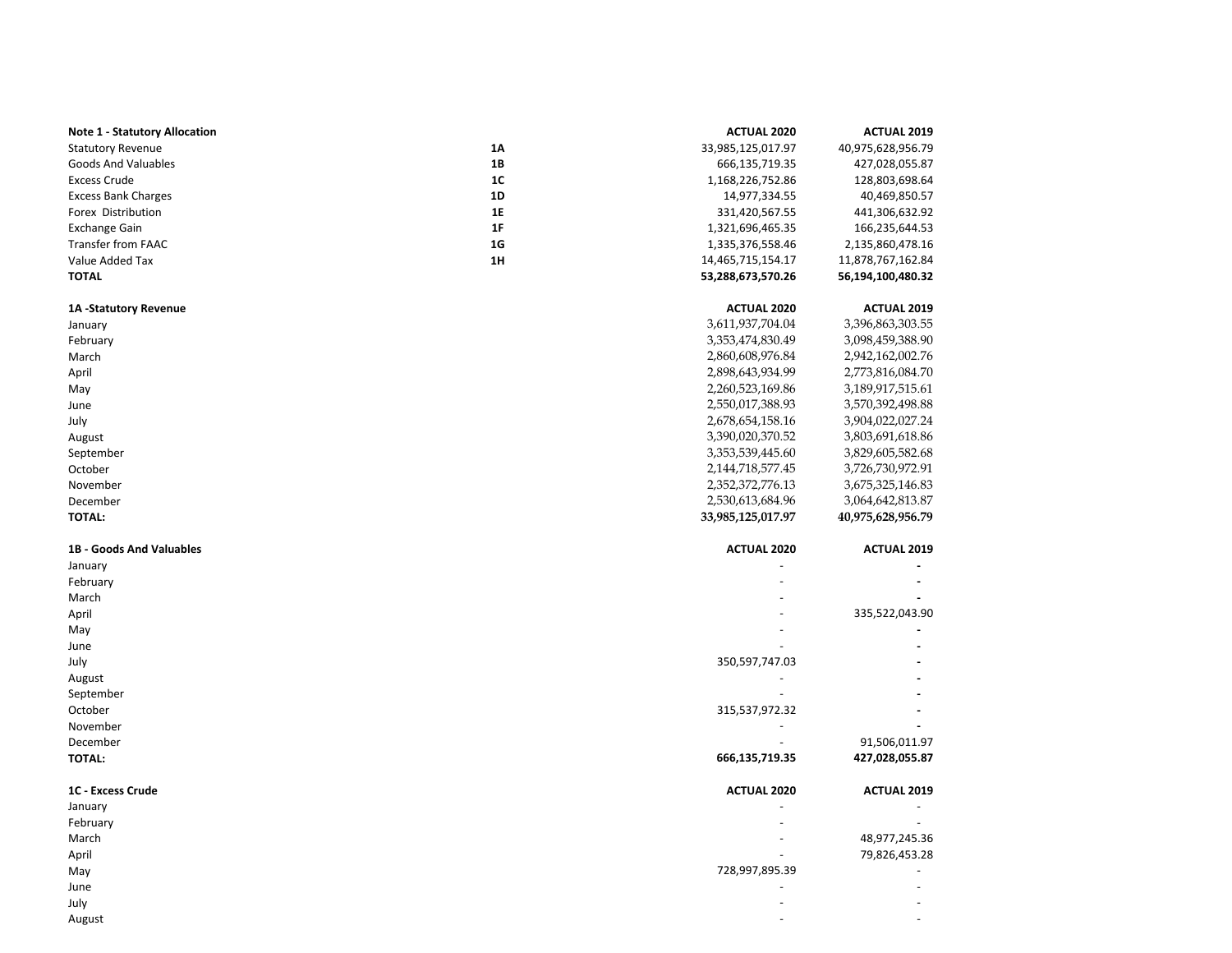| <b>Note 1 - Statutory Allocation</b> |                | <b>ACTUAL 2020</b>   | <b>ACTUAL 2019</b> |
|--------------------------------------|----------------|----------------------|--------------------|
| <b>Statutory Revenue</b>             | <b>1A</b>      | 33,985,125,017.97    | 40,975,628,956.79  |
| <b>Goods And Valuables</b>           | <b>1B</b>      | 666,135,719.35       | 427,028,055.87     |
| <b>Excess Crude</b>                  | 1C             | 1,168,226,752.86     | 128,803,698.64     |
| <b>Excess Bank Charges</b>           | 1D             | 14,977,334.55        | 40,469,850.57      |
| Forex Distribution                   | 1E             | 331,420,567.55       | 441,306,632.92     |
| <b>Exchange Gain</b>                 | 1F             | 1,321,696,465.35     | 166,235,644.53     |
| Transfer from FAAC                   | 1 <sub>G</sub> | 1,335,376,558.46     | 2,135,860,478.16   |
| Value Added Tax                      | 1H             | 14,465,715,154.17    | 11,878,767,162.84  |
| <b>TOTAL</b>                         |                | 53,288,673,570.26    | 56,194,100,480.32  |
| <b>1A-Statutory Revenue</b>          |                | <b>ACTUAL 2020</b>   | <b>ACTUAL 2019</b> |
| January                              |                | 3,611,937,704.04     | 3,396,863,303.55   |
| February                             |                | 3,353,474,830.49     | 3,098,459,388.90   |
| March                                |                | 2,860,608,976.84     | 2,942,162,002.76   |
| April                                |                | 2,898,643,934.99     | 2,773,816,084.70   |
| May                                  |                | 2,260,523,169.86     | 3,189,917,515.61   |
| June                                 |                | 2,550,017,388.93     | 3,570,392,498.88   |
| July                                 |                | 2,678,654,158.16     | 3,904,022,027.24   |
| August                               |                | 3,390,020,370.52     | 3,803,691,618.86   |
| September                            |                | 3,353,539,445.60     | 3,829,605,582.68   |
| October                              |                | 2, 144, 718, 577. 45 | 3,726,730,972.91   |
| November                             |                | 2,352,372,776.13     | 3,675,325,146.83   |
| December                             |                | 2,530,613,684.96     | 3,064,642,813.87   |
| <b>TOTAL:</b>                        |                | 33,985,125,017.97    | 40,975,628,956.79  |
| 1B - Goods And Valuables             |                | <b>ACTUAL 2020</b>   | <b>ACTUAL 2019</b> |
| January                              |                |                      |                    |
| February                             |                |                      |                    |
|                                      |                |                      |                    |
| March                                |                |                      |                    |
|                                      |                |                      | 335,522,043.90     |
| April                                |                |                      |                    |
| May                                  |                |                      |                    |
| June                                 |                |                      |                    |
| July                                 |                | 350,597,747.03       |                    |
| August                               |                |                      |                    |
| September                            |                |                      |                    |
| October                              |                | 315,537,972.32       |                    |
| November                             |                |                      |                    |
| December                             |                |                      | 91,506,011.97      |
| <b>TOTAL:</b>                        |                | 666,135,719.35       | 427,028,055.87     |
| 1C - Excess Crude                    |                | <b>ACTUAL 2020</b>   | <b>ACTUAL 2019</b> |
| January                              |                |                      |                    |
| February                             |                |                      |                    |
| March                                |                |                      | 48,977,245.36      |
| April                                |                |                      | 79,826,453.28      |
| May                                  |                | 728,997,895.39       |                    |
| June                                 |                |                      |                    |
| July                                 |                |                      |                    |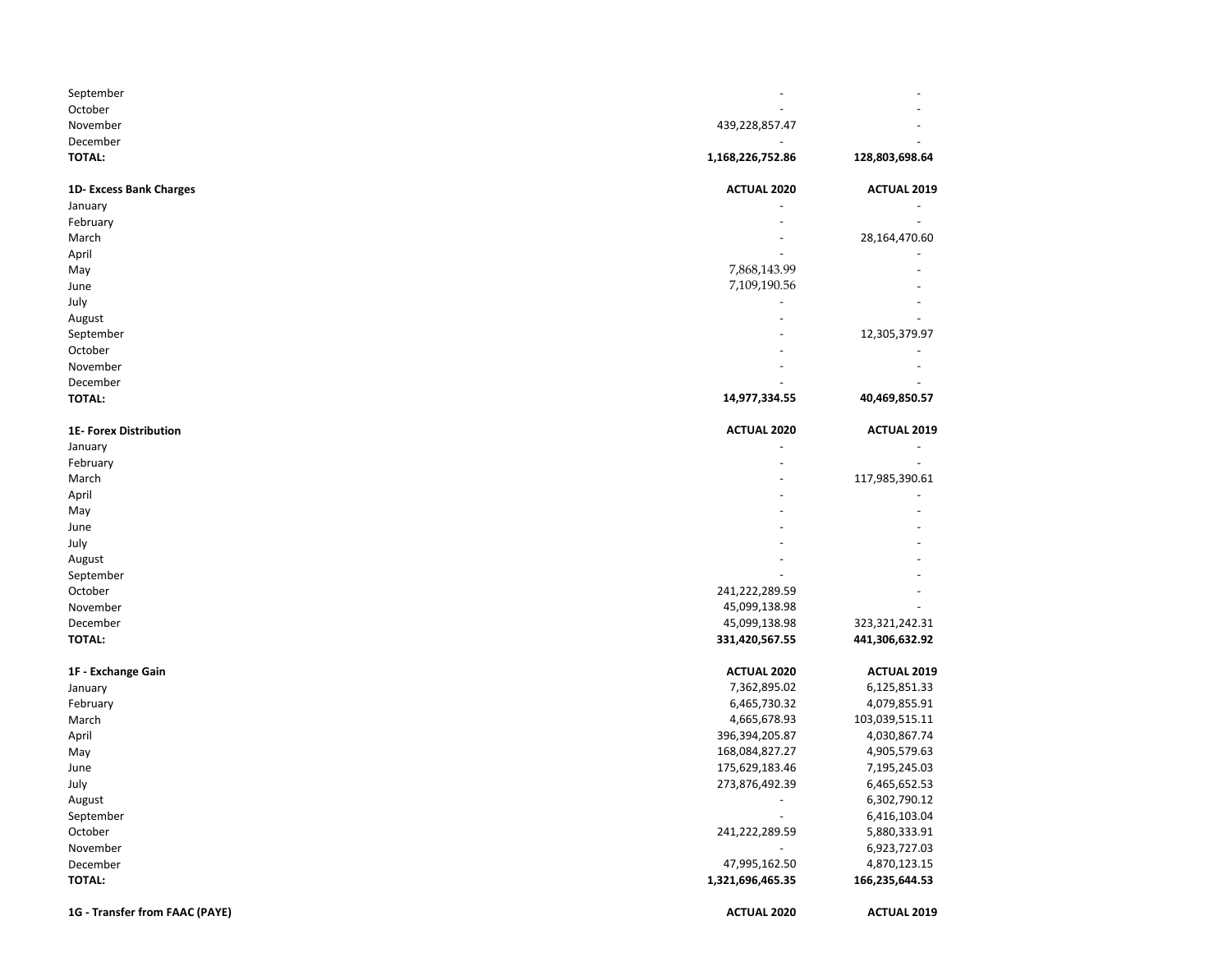| September                      |                    |                    |
|--------------------------------|--------------------|--------------------|
| October                        |                    |                    |
| November                       | 439,228,857.47     |                    |
| December                       |                    |                    |
| <b>TOTAL:</b>                  | 1,168,226,752.86   | 128,803,698.64     |
| 1D-Excess Bank Charges         | <b>ACTUAL 2020</b> | <b>ACTUAL 2019</b> |
| January                        |                    |                    |
| February                       |                    |                    |
| March                          |                    | 28,164,470.60      |
| April                          |                    |                    |
| May                            | 7,868,143.99       |                    |
| June                           | 7,109,190.56       |                    |
| July                           |                    |                    |
| August                         |                    |                    |
| September                      |                    | 12,305,379.97      |
| October                        |                    |                    |
| November                       |                    |                    |
| December                       |                    |                    |
| <b>TOTAL:</b>                  | 14,977,334.55      | 40,469,850.57      |
| 1E- Forex Distribution         | <b>ACTUAL 2020</b> | <b>ACTUAL 2019</b> |
| January                        |                    |                    |
| February                       |                    |                    |
| March                          |                    | 117,985,390.61     |
| April                          |                    |                    |
| May                            |                    |                    |
| June                           |                    |                    |
| July                           |                    |                    |
| August                         |                    |                    |
| September                      |                    |                    |
| October                        | 241,222,289.59     |                    |
| November                       | 45,099,138.98      |                    |
| December                       | 45,099,138.98      | 323,321,242.31     |
| <b>TOTAL:</b>                  | 331,420,567.55     | 441,306,632.92     |
| 1F - Exchange Gain             | <b>ACTUAL 2020</b> | <b>ACTUAL 2019</b> |
| January                        | 7,362,895.02       | 6,125,851.33       |
| February                       | 6,465,730.32       | 4,079,855.91       |
| March                          | 4,665,678.93       | 103,039,515.11     |
| April                          | 396,394,205.87     | 4,030,867.74       |
| May                            | 168,084,827.27     | 4,905,579.63       |
| June                           | 175,629,183.46     | 7,195,245.03       |
| July                           | 273,876,492.39     | 6,465,652.53       |
| August                         |                    | 6,302,790.12       |
| September                      |                    | 6,416,103.04       |
| October                        | 241,222,289.59     | 5,880,333.91       |
| November                       |                    | 6,923,727.03       |
| December                       | 47,995,162.50      | 4,870,123.15       |
| <b>TOTAL:</b>                  | 1,321,696,465.35   | 166,235,644.53     |
| 1G - Transfer from FAAC (PAYE) | ACTUAL 2020        | <b>ACTUAL 2019</b> |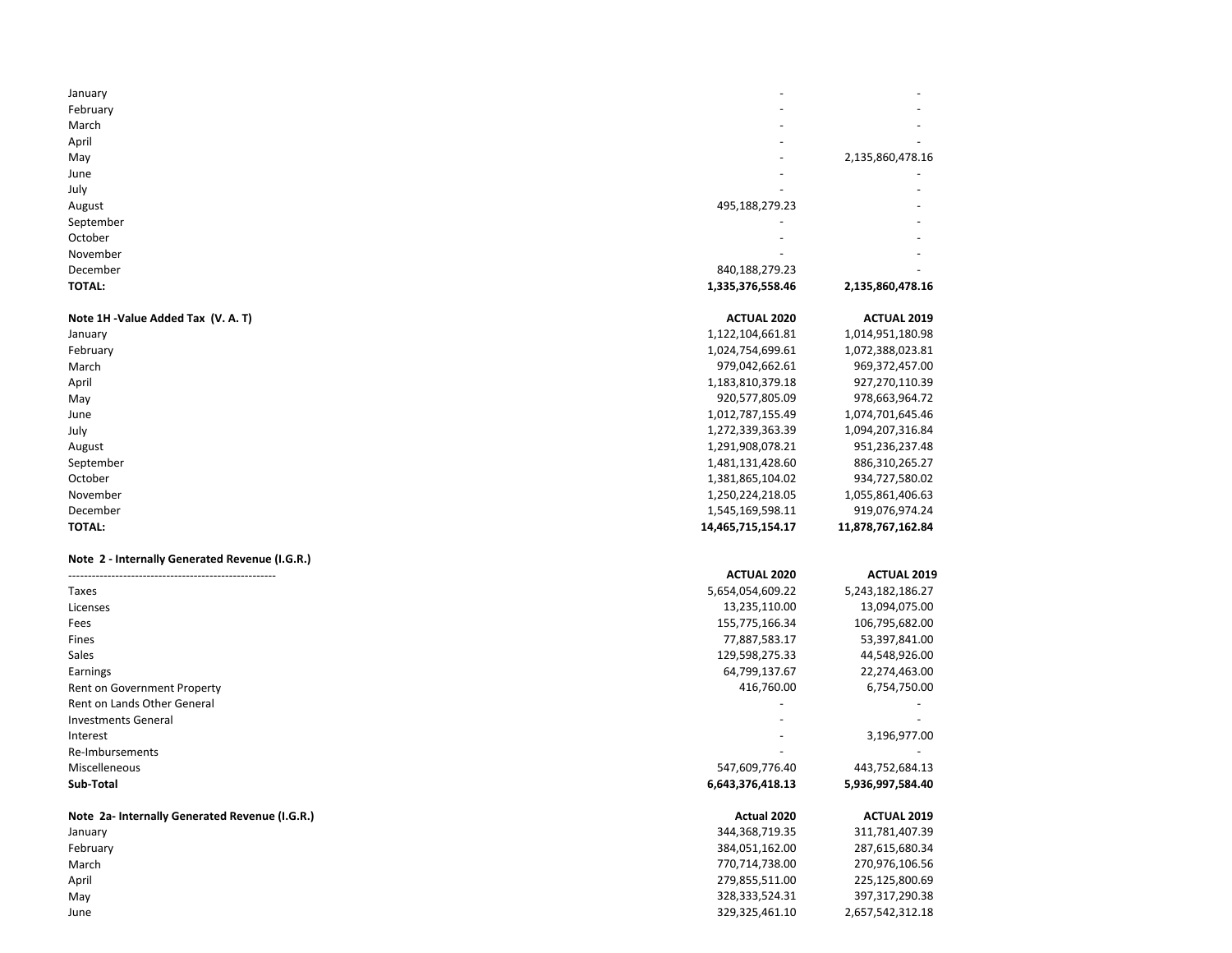| January                                        |                    |                    |
|------------------------------------------------|--------------------|--------------------|
| February                                       |                    |                    |
| March                                          |                    |                    |
| April                                          |                    |                    |
| May                                            |                    | 2,135,860,478.16   |
| June                                           |                    |                    |
| July                                           |                    |                    |
| August                                         | 495,188,279.23     |                    |
| September                                      |                    |                    |
| October                                        |                    |                    |
| November                                       |                    |                    |
| December                                       | 840,188,279.23     |                    |
| TOTAL:                                         | 1,335,376,558.46   | 2,135,860,478.16   |
| Note 1H -Value Added Tax (V. A. T)             | <b>ACTUAL 2020</b> | <b>ACTUAL 2019</b> |
| January                                        | 1,122,104,661.81   | 1,014,951,180.98   |
| February                                       | 1,024,754,699.61   | 1,072,388,023.81   |
| March                                          | 979,042,662.61     | 969,372,457.00     |
| April                                          | 1,183,810,379.18   | 927,270,110.39     |
| May                                            | 920,577,805.09     | 978,663,964.72     |
| June                                           | 1,012,787,155.49   | 1,074,701,645.46   |
| July                                           | 1,272,339,363.39   | 1,094,207,316.84   |
| August                                         | 1,291,908,078.21   | 951,236,237.48     |
| September                                      | 1,481,131,428.60   | 886,310,265.27     |
| October                                        | 1,381,865,104.02   | 934,727,580.02     |
| November                                       | 1,250,224,218.05   | 1,055,861,406.63   |
| December                                       | 1,545,169,598.11   | 919,076,974.24     |
| <b>TOTAL:</b>                                  | 14,465,715,154.17  | 11,878,767,162.84  |
| Note 2 - Internally Generated Revenue (I.G.R.) |                    |                    |
|                                                | <b>ACTUAL 2020</b> | <b>ACTUAL 2019</b> |
| Taxes                                          | 5,654,054,609.22   | 5,243,182,186.27   |
| Licenses                                       | 13,235,110.00      | 13,094,075.00      |
| Fees                                           | 155,775,166.34     | 106,795,682.00     |
| Fines                                          | 77,887,583.17      | 53,397,841.00      |
| Sales                                          | 129,598,275.33     | 44,548,926.00      |
| Earnings                                       | 64,799,137.67      | 22,274,463.00      |
| Rent on Government Property                    | 416,760.00         | 6,754,750.00       |
| Rent on Lands Other General                    |                    |                    |
| <b>Investments General</b>                     |                    |                    |
| Interest                                       |                    | 3,196,977.00       |
| Re-Imbursements                                |                    |                    |
| Miscelleneous                                  | 547,609,776.40     | 443,752,684.13     |
| Sub-Total                                      | 6,643,376,418.13   | 5,936,997,584.40   |
| Note 2a- Internally Generated Revenue (I.G.R.) | Actual 2020        | <b>ACTUAL 2019</b> |
| January                                        | 344, 368, 719. 35  | 311,781,407.39     |
| February                                       | 384,051,162.00     | 287,615,680.34     |
| March                                          | 770,714,738.00     | 270,976,106.56     |
| April                                          | 279,855,511.00     | 225,125,800.69     |
| May                                            | 328, 333, 524. 31  | 397,317,290.38     |
| June                                           | 329,325,461.10     | 2,657,542,312.18   |
|                                                |                    |                    |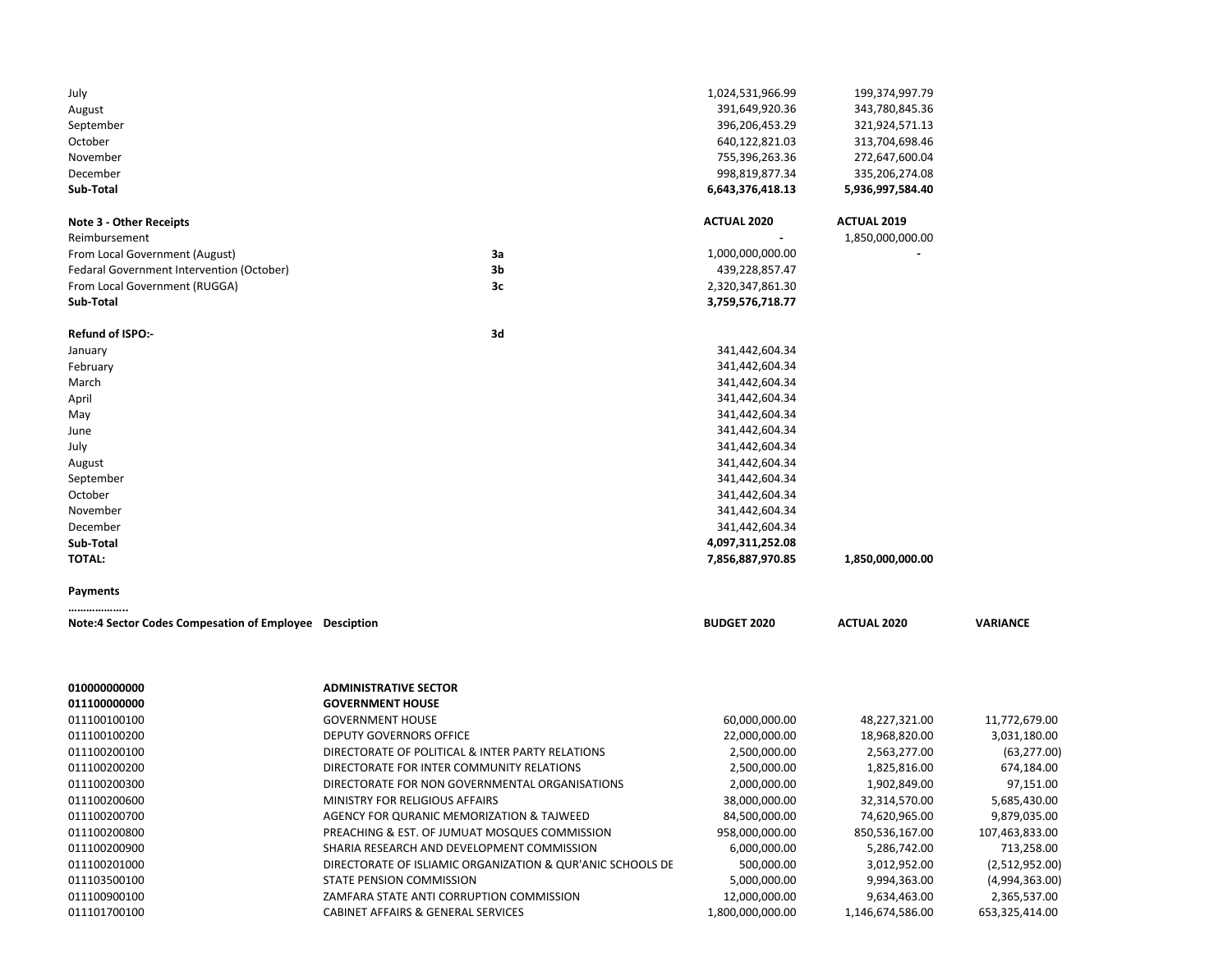| July<br>August<br>September<br>October<br>November<br>December<br>Sub-Total |                                                            | 1,024,531,966.99<br>391,649,920.36<br>396,206,453.29<br>640,122,821.03<br>755,396,263.36<br>998,819,877.34<br>6,643,376,418.13 | 199,374,997.79<br>343,780,845.36<br>321,924,571.13<br>313,704,698.46<br>272,647,600.04<br>335,206,274.08<br>5,936,997,584.40 |                 |
|-----------------------------------------------------------------------------|------------------------------------------------------------|--------------------------------------------------------------------------------------------------------------------------------|------------------------------------------------------------------------------------------------------------------------------|-----------------|
| <b>Note 3 - Other Receipts</b><br>Reimbursement                             |                                                            | <b>ACTUAL 2020</b>                                                                                                             | <b>ACTUAL 2019</b><br>1,850,000,000.00                                                                                       |                 |
| From Local Government (August)                                              | За                                                         | 1,000,000,000.00                                                                                                               |                                                                                                                              |                 |
| Fedaral Government Intervention (October)                                   | 3b                                                         | 439,228,857.47                                                                                                                 |                                                                                                                              |                 |
| From Local Government (RUGGA)                                               | 3c                                                         | 2,320,347,861.30                                                                                                               |                                                                                                                              |                 |
| Sub-Total                                                                   |                                                            | 3,759,576,718.77                                                                                                               |                                                                                                                              |                 |
| Refund of ISPO:-                                                            | 3d                                                         |                                                                                                                                |                                                                                                                              |                 |
| January                                                                     |                                                            | 341,442,604.34                                                                                                                 |                                                                                                                              |                 |
| February                                                                    |                                                            | 341,442,604.34                                                                                                                 |                                                                                                                              |                 |
| March                                                                       |                                                            | 341,442,604.34                                                                                                                 |                                                                                                                              |                 |
| April                                                                       |                                                            | 341,442,604.34                                                                                                                 |                                                                                                                              |                 |
| May                                                                         |                                                            | 341,442,604.34                                                                                                                 |                                                                                                                              |                 |
| June                                                                        |                                                            | 341,442,604.34                                                                                                                 |                                                                                                                              |                 |
| July                                                                        |                                                            | 341,442,604.34                                                                                                                 |                                                                                                                              |                 |
| August                                                                      |                                                            | 341,442,604.34                                                                                                                 |                                                                                                                              |                 |
| September                                                                   |                                                            | 341,442,604.34                                                                                                                 |                                                                                                                              |                 |
| October                                                                     |                                                            | 341,442,604.34                                                                                                                 |                                                                                                                              |                 |
| November                                                                    |                                                            | 341,442,604.34                                                                                                                 |                                                                                                                              |                 |
| December                                                                    |                                                            | 341,442,604.34                                                                                                                 |                                                                                                                              |                 |
| Sub-Total<br><b>TOTAL:</b>                                                  |                                                            | 4,097,311,252.08<br>7,856,887,970.85                                                                                           |                                                                                                                              |                 |
|                                                                             |                                                            |                                                                                                                                | 1,850,000,000.00                                                                                                             |                 |
| Payments<br>                                                                |                                                            |                                                                                                                                |                                                                                                                              |                 |
| Note:4 Sector Codes Compesation of Employee Desciption                      |                                                            | <b>BUDGET 2020</b>                                                                                                             | <b>ACTUAL 2020</b>                                                                                                           | <b>VARIANCE</b> |
| 010000000000<br>011100000000                                                | <b>ADMINISTRATIVE SECTOR</b><br><b>GOVERNMENT HOUSE</b>    |                                                                                                                                |                                                                                                                              |                 |
| 011100100100                                                                | <b>GOVERNMENT HOUSE</b>                                    | 60,000,000.00                                                                                                                  | 48,227,321.00                                                                                                                | 11,772,679.00   |
| 011100100200                                                                | <b>DEPUTY GOVERNORS OFFICE</b>                             | 22,000,000.00                                                                                                                  | 18,968,820.00                                                                                                                | 3,031,180.00    |
| 011100200100                                                                | DIRECTORATE OF POLITICAL & INTER PARTY RELATIONS           | 2,500,000.00                                                                                                                   | 2,563,277.00                                                                                                                 | (63, 277.00)    |
| 011100200200                                                                | DIRECTORATE FOR INTER COMMUNITY RELATIONS                  | 2,500,000.00                                                                                                                   | 1,825,816.00                                                                                                                 | 674,184.00      |
| 011100200300                                                                | DIRECTORATE FOR NON GOVERNMENTAL ORGANISATIONS             | 2,000,000.00                                                                                                                   | 1,902,849.00                                                                                                                 | 97,151.00       |
| 011100200600                                                                | MINISTRY FOR RELIGIOUS AFFAIRS                             | 38,000,000.00                                                                                                                  | 32,314,570.00                                                                                                                | 5,685,430.00    |
| 011100200700                                                                | AGENCY FOR QURANIC MEMORIZATION & TAJWEED                  | 84,500,000.00                                                                                                                  | 74,620,965.00                                                                                                                | 9,879,035.00    |
| 011100200800                                                                | PREACHING & EST. OF JUMUAT MOSQUES COMMISSION              | 958,000,000.00                                                                                                                 | 850,536,167.00                                                                                                               | 107,463,833.00  |
| 011100200900                                                                | SHARIA RESEARCH AND DEVELOPMENT COMMISSION                 | 6,000,000.00                                                                                                                   | 5,286,742.00                                                                                                                 | 713,258.00      |
| 011100201000                                                                | DIRECTORATE OF ISLIAMIC ORGANIZATION & QUR'ANIC SCHOOLS DE | 500,000.00                                                                                                                     | 3,012,952.00                                                                                                                 | (2,512,952.00)  |
| 011103500100                                                                | <b>STATE PENSION COMMISSION</b>                            | 5,000,000.00                                                                                                                   | 9,994,363.00                                                                                                                 | (4,994,363.00)  |
| 011100900100                                                                | ZAMFARA STATE ANTI CORRUPTION COMMISSION                   | 12,000,000.00                                                                                                                  | 9,634,463.00                                                                                                                 | 2,365,537.00    |
| 011101700100                                                                | CABINET AFFAIRS & GENERAL SERVICES                         | 1,800,000,000.00                                                                                                               | 1,146,674,586.00                                                                                                             | 653,325,414.00  |
|                                                                             |                                                            |                                                                                                                                |                                                                                                                              |                 |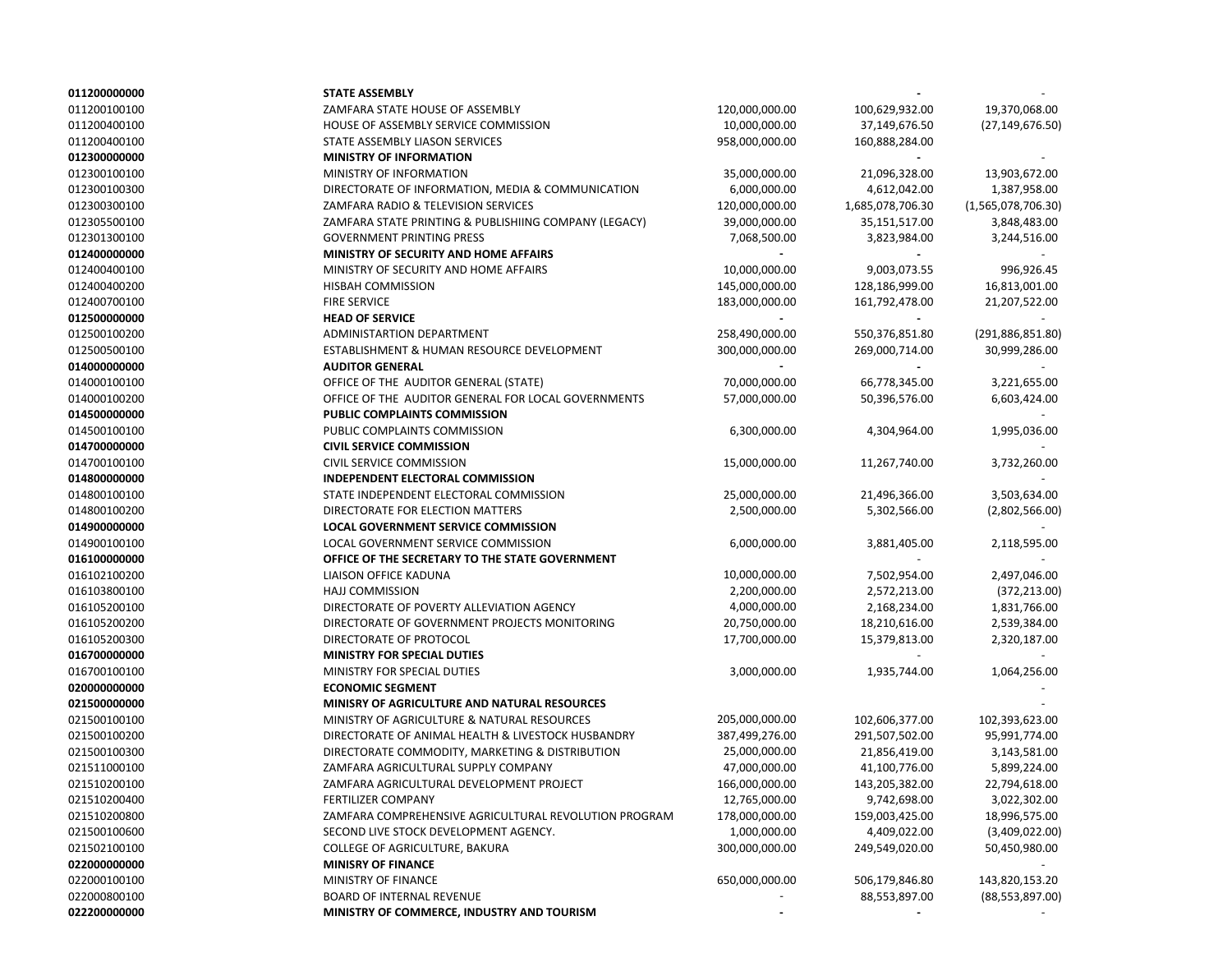| 011200000000 | <b>STATE ASSEMBLY</b>                                 |                |                  |                    |
|--------------|-------------------------------------------------------|----------------|------------------|--------------------|
| 011200100100 | ZAMFARA STATE HOUSE OF ASSEMBLY                       | 120,000,000.00 | 100,629,932.00   | 19,370,068.00      |
| 011200400100 | HOUSE OF ASSEMBLY SERVICE COMMISSION                  | 10,000,000.00  | 37,149,676.50    | (27,149,676.50)    |
| 011200400100 | STATE ASSEMBLY LIASON SERVICES                        | 958,000,000.00 | 160,888,284.00   |                    |
| 012300000000 | <b>MINISTRY OF INFORMATION</b>                        |                |                  |                    |
| 012300100100 | MINISTRY OF INFORMATION                               | 35,000,000.00  | 21,096,328.00    | 13,903,672.00      |
| 012300100300 | DIRECTORATE OF INFORMATION, MEDIA & COMMUNICATION     | 6,000,000.00   | 4,612,042.00     | 1,387,958.00       |
| 012300300100 | ZAMFARA RADIO & TELEVISION SERVICES                   | 120,000,000.00 | 1,685,078,706.30 | (1,565,078,706.30) |
| 012305500100 | ZAMFARA STATE PRINTING & PUBLISHIING COMPANY (LEGACY) | 39,000,000.00  | 35,151,517.00    | 3,848,483.00       |
| 012301300100 | <b>GOVERNMENT PRINTING PRESS</b>                      | 7,068,500.00   | 3,823,984.00     | 3,244,516.00       |
| 012400000000 | <b>MINISTRY OF SECURITY AND HOME AFFAIRS</b>          |                |                  |                    |
| 012400400100 | MINISTRY OF SECURITY AND HOME AFFAIRS                 | 10,000,000.00  | 9,003,073.55     | 996,926.45         |
| 012400400200 | HISBAH COMMISSION                                     | 145,000,000.00 | 128,186,999.00   | 16,813,001.00      |
| 012400700100 | <b>FIRE SERVICE</b>                                   | 183,000,000.00 | 161,792,478.00   | 21,207,522.00      |
| 012500000000 | <b>HEAD OF SERVICE</b>                                |                |                  |                    |
| 012500100200 | ADMINISTARTION DEPARTMENT                             | 258,490,000.00 | 550,376,851.80   | (291, 886, 851.80) |
| 012500500100 | ESTABLISHMENT & HUMAN RESOURCE DEVELOPMENT            | 300,000,000.00 | 269,000,714.00   | 30,999,286.00      |
| 014000000000 | <b>AUDITOR GENERAL</b>                                |                |                  |                    |
| 014000100100 | OFFICE OF THE AUDITOR GENERAL (STATE)                 | 70,000,000.00  | 66,778,345.00    | 3,221,655.00       |
| 014000100200 | OFFICE OF THE AUDITOR GENERAL FOR LOCAL GOVERNMENTS   | 57,000,000.00  | 50,396,576.00    | 6,603,424.00       |
| 014500000000 | PUBLIC COMPLAINTS COMMISSION                          |                |                  |                    |
| 014500100100 | PUBLIC COMPLAINTS COMMISSION                          | 6,300,000.00   | 4,304,964.00     | 1,995,036.00       |
| 014700000000 | <b>CIVIL SERVICE COMMISSION</b>                       |                |                  |                    |
| 014700100100 | CIVIL SERVICE COMMISSION                              | 15,000,000.00  | 11,267,740.00    | 3,732,260.00       |
| 014800000000 | INDEPENDENT ELECTORAL COMMISSION                      |                |                  |                    |
| 014800100100 | STATE INDEPENDENT ELECTORAL COMMISSION                | 25,000,000.00  | 21,496,366.00    | 3,503,634.00       |
| 014800100200 | DIRECTORATE FOR ELECTION MATTERS                      | 2,500,000.00   | 5,302,566.00     | (2,802,566.00)     |
| 014900000000 | LOCAL GOVERNMENT SERVICE COMMISSION                   |                |                  |                    |
| 014900100100 | LOCAL GOVERNMENT SERVICE COMMISSION                   | 6,000,000.00   | 3,881,405.00     | 2,118,595.00       |
| 016100000000 | OFFICE OF THE SECRETARY TO THE STATE GOVERNMENT       |                |                  |                    |
| 016102100200 | LIAISON OFFICE KADUNA                                 |                |                  | 2,497,046.00       |
| 016103800100 | <b>HAJJ COMMISSION</b>                                | 10,000,000.00  | 7,502,954.00     |                    |
| 016105200100 | DIRECTORATE OF POVERTY ALLEVIATION AGENCY             | 2,200,000.00   | 2,572,213.00     | (372, 213.00)      |
|              |                                                       | 4,000,000.00   | 2,168,234.00     | 1,831,766.00       |
| 016105200200 | DIRECTORATE OF GOVERNMENT PROJECTS MONITORING         | 20,750,000.00  | 18,210,616.00    | 2,539,384.00       |
| 016105200300 | DIRECTORATE OF PROTOCOL                               | 17,700,000.00  | 15,379,813.00    | 2,320,187.00       |
| 016700000000 | <b>MINISTRY FOR SPECIAL DUTIES</b>                    |                |                  |                    |
| 016700100100 | MINISTRY FOR SPECIAL DUTIES                           | 3,000,000.00   | 1,935,744.00     | 1,064,256.00       |
| 020000000000 | <b>ECONOMIC SEGMENT</b>                               |                |                  |                    |
| 021500000000 | MINISRY OF AGRICULTURE AND NATURAL RESOURCES          |                |                  |                    |
| 021500100100 | MINISTRY OF AGRICULTURE & NATURAL RESOURCES           | 205,000,000.00 | 102,606,377.00   | 102,393,623.00     |
| 021500100200 | DIRECTORATE OF ANIMAL HEALTH & LIVESTOCK HUSBANDRY    | 387,499,276.00 | 291,507,502.00   | 95,991,774.00      |
| 021500100300 | DIRECTORATE COMMODITY, MARKETING & DISTRIBUTION       | 25,000,000.00  | 21,856,419.00    | 3,143,581.00       |
| 021511000100 | ZAMFARA AGRICULTURAL SUPPLY COMPANY                   | 47,000,000.00  | 41,100,776.00    | 5,899,224.00       |
| 021510200100 | ZAMFARA AGRICULTURAL DEVELOPMENT PROJECT              | 166,000,000.00 | 143,205,382.00   | 22,794,618.00      |
| 021510200400 | <b>FERTILIZER COMPANY</b>                             | 12,765,000.00  | 9,742,698.00     | 3,022,302.00       |
| 021510200800 | ZAMFARA COMPREHENSIVE AGRICULTURAL REVOLUTION PROGRAM | 178,000,000.00 | 159,003,425.00   | 18,996,575.00      |
| 021500100600 | SECOND LIVE STOCK DEVELOPMENT AGENCY.                 | 1,000,000.00   | 4,409,022.00     | (3,409,022.00)     |
| 021502100100 | COLLEGE OF AGRICULTURE, BAKURA                        | 300,000,000.00 | 249,549,020.00   | 50,450,980.00      |
| 022000000000 | <b>MINISRY OF FINANCE</b>                             |                |                  |                    |
| 022000100100 | MINISTRY OF FINANCE                                   | 650,000,000.00 | 506,179,846.80   | 143,820,153.20     |
| 022000800100 | BOARD OF INTERNAL REVENUE                             |                | 88,553,897.00    | (88, 553, 897.00)  |
| 022200000000 | MINISTRY OF COMMERCE, INDUSTRY AND TOURISM            |                |                  |                    |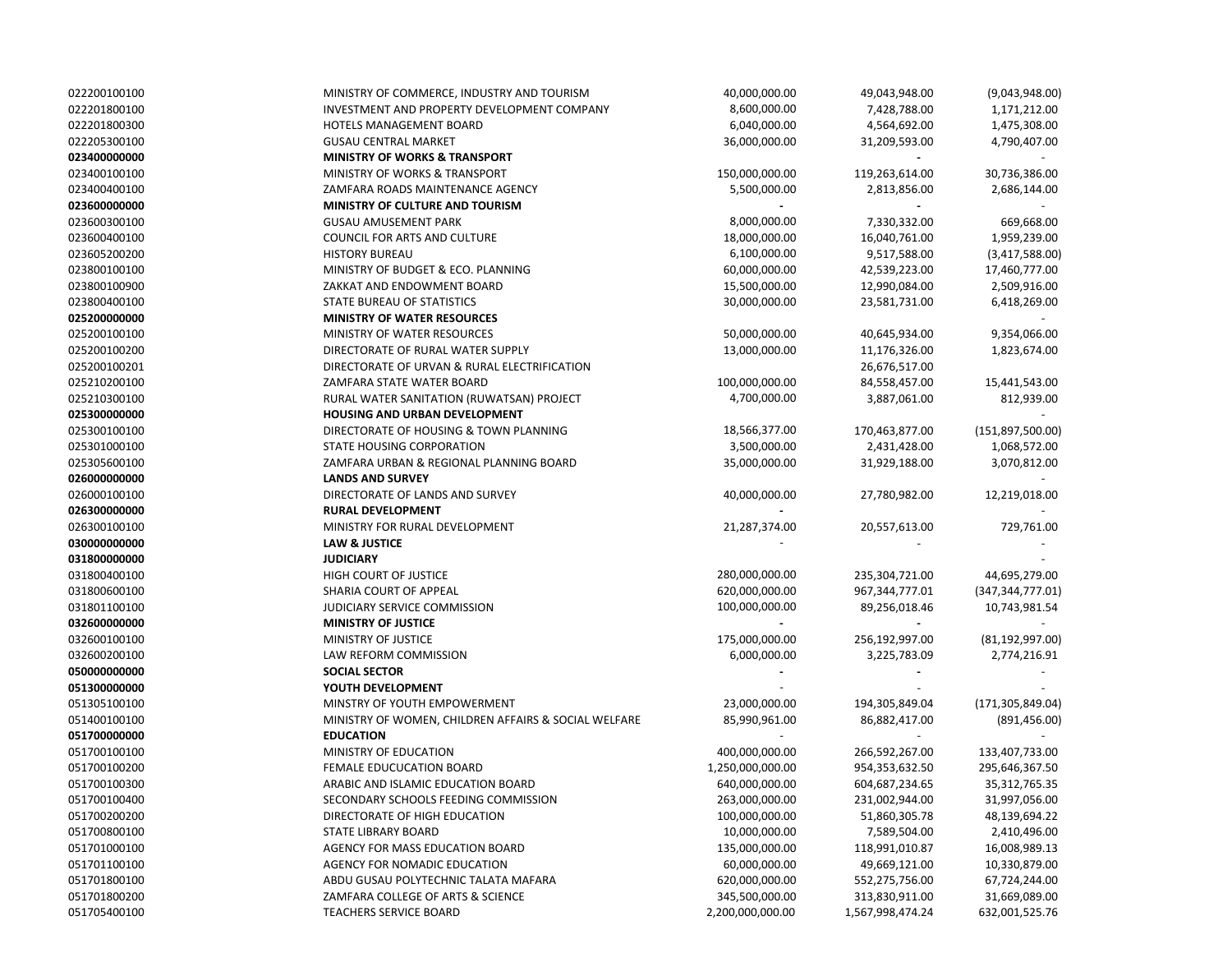| 022200100100 | MINISTRY OF COMMERCE, INDUSTRY AND TOURISM           | 40,000,000.00    | 49,043,948.00    | (9,043,948.00)               |  |
|--------------|------------------------------------------------------|------------------|------------------|------------------------------|--|
| 022201800100 | INVESTMENT AND PROPERTY DEVELOPMENT COMPANY          | 8,600,000.00     | 7,428,788.00     | 1,171,212.00                 |  |
| 022201800300 | <b>HOTELS MANAGEMENT BOARD</b>                       | 6,040,000.00     | 4,564,692.00     | 1,475,308.00                 |  |
| 022205300100 | <b>GUSAU CENTRAL MARKET</b>                          | 36,000,000.00    | 31,209,593.00    | 4,790,407.00                 |  |
| 023400000000 | <b>MINISTRY OF WORKS &amp; TRANSPORT</b>             |                  |                  |                              |  |
| 023400100100 | <b>MINISTRY OF WORKS &amp; TRANSPORT</b>             | 150,000,000.00   | 119,263,614.00   | 30,736,386.00                |  |
| 023400400100 | ZAMFARA ROADS MAINTENANCE AGENCY                     | 5,500,000.00     | 2,813,856.00     | 2,686,144.00                 |  |
| 023600000000 | <b>MINISTRY OF CULTURE AND TOURISM</b>               |                  |                  |                              |  |
| 023600300100 | <b>GUSAU AMUSEMENT PARK</b>                          | 8,000,000.00     | 7,330,332.00     | 669,668.00                   |  |
| 023600400100 | COUNCIL FOR ARTS AND CULTURE                         | 18,000,000.00    | 16,040,761.00    | 1,959,239.00                 |  |
| 023605200200 | <b>HISTORY BUREAU</b>                                | 6,100,000.00     | 9,517,588.00     | (3,417,588.00)               |  |
| 023800100100 | MINISTRY OF BUDGET & ECO. PLANNING                   | 60,000,000.00    | 42,539,223.00    | 17,460,777.00                |  |
| 023800100900 | ZAKKAT AND ENDOWMENT BOARD                           | 15,500,000.00    | 12,990,084.00    | 2,509,916.00                 |  |
| 023800400100 | <b>STATE BUREAU OF STATISTICS</b>                    | 30,000,000.00    | 23,581,731.00    | 6,418,269.00                 |  |
| 025200000000 | <b>MINISTRY OF WATER RESOURCES</b>                   |                  |                  |                              |  |
| 025200100100 | MINISTRY OF WATER RESOURCES                          | 50,000,000.00    | 40,645,934.00    | 9,354,066.00                 |  |
| 025200100200 | DIRECTORATE OF RURAL WATER SUPPLY                    | 13,000,000.00    | 11,176,326.00    | 1,823,674.00                 |  |
| 025200100201 | DIRECTORATE OF URVAN & RURAL ELECTRIFICATION         |                  | 26,676,517.00    |                              |  |
| 025210200100 | ZAMFARA STATE WATER BOARD                            | 100,000,000.00   | 84,558,457.00    | 15,441,543.00                |  |
| 025210300100 | RURAL WATER SANITATION (RUWATSAN) PROJECT            | 4,700,000.00     | 3,887,061.00     | 812,939.00                   |  |
| 025300000000 | HOUSING AND URBAN DEVELOPMENT                        |                  |                  |                              |  |
| 025300100100 | DIRECTORATE OF HOUSING & TOWN PLANNING               | 18,566,377.00    | 170,463,877.00   | (151,897,500.00)             |  |
| 025301000100 | STATE HOUSING CORPORATION                            | 3,500,000.00     | 2,431,428.00     |                              |  |
| 025305600100 | ZAMFARA URBAN & REGIONAL PLANNING BOARD              | 35,000,000.00    | 31,929,188.00    | 1,068,572.00<br>3,070,812.00 |  |
| 026000000000 | <b>LANDS AND SURVEY</b>                              |                  |                  |                              |  |
| 026000100100 | DIRECTORATE OF LANDS AND SURVEY                      |                  |                  |                              |  |
|              |                                                      | 40,000,000.00    | 27,780,982.00    | 12,219,018.00                |  |
| 026300000000 | <b>RURAL DEVELOPMENT</b>                             |                  |                  |                              |  |
| 026300100100 | MINISTRY FOR RURAL DEVELOPMENT                       | 21,287,374.00    | 20,557,613.00    | 729,761.00                   |  |
| 030000000000 | <b>LAW &amp; JUSTICE</b>                             |                  |                  |                              |  |
| 031800000000 | <b>JUDICIARY</b>                                     |                  |                  |                              |  |
| 031800400100 | HIGH COURT OF JUSTICE                                | 280,000,000.00   | 235,304,721.00   | 44,695,279.00                |  |
| 031800600100 | SHARIA COURT OF APPEAL                               | 620,000,000.00   | 967,344,777.01   | (347, 344, 777.01)           |  |
| 031801100100 | JUDICIARY SERVICE COMMISSION                         | 100,000,000.00   | 89,256,018.46    | 10,743,981.54                |  |
| 032600000000 | <b>MINISTRY OF JUSTICE</b>                           |                  |                  |                              |  |
| 032600100100 | MINISTRY OF JUSTICE                                  | 175,000,000.00   | 256,192,997.00   | (81, 192, 997.00)            |  |
| 032600200100 | LAW REFORM COMMISSION                                | 6,000,000.00     | 3,225,783.09     | 2,774,216.91                 |  |
| 050000000000 | <b>SOCIAL SECTOR</b>                                 |                  |                  |                              |  |
| 051300000000 | YOUTH DEVELOPMENT                                    |                  |                  |                              |  |
| 051305100100 | MINSTRY OF YOUTH EMPOWERMENT                         | 23,000,000.00    | 194,305,849.04   | (171, 305, 849.04)           |  |
| 051400100100 | MINISTRY OF WOMEN, CHILDREN AFFAIRS & SOCIAL WELFARE | 85,990,961.00    | 86,882,417.00    | (891, 456.00)                |  |
| 051700000000 | <b>EDUCATION</b>                                     |                  |                  |                              |  |
| 051700100100 | MINISTRY OF EDUCATION                                | 400,000,000.00   | 266,592,267.00   | 133,407,733.00               |  |
| 051700100200 | FEMALE EDUCUCATION BOARD                             | 1,250,000,000.00 | 954,353,632.50   | 295,646,367.50               |  |
| 051700100300 | ARABIC AND ISLAMIC EDUCATION BOARD                   | 640,000,000.00   | 604,687,234.65   | 35, 312, 765. 35             |  |
| 051700100400 | SECONDARY SCHOOLS FEEDING COMMISSION                 | 263,000,000.00   | 231,002,944.00   | 31,997,056.00                |  |
| 051700200200 | DIRECTORATE OF HIGH EDUCATION                        | 100,000,000.00   | 51,860,305.78    | 48,139,694.22                |  |
| 051700800100 | STATE LIBRARY BOARD                                  | 10,000,000.00    | 7,589,504.00     | 2,410,496.00                 |  |
| 051701000100 | AGENCY FOR MASS EDUCATION BOARD                      | 135,000,000.00   | 118,991,010.87   | 16,008,989.13                |  |
| 051701100100 | AGENCY FOR NOMADIC EDUCATION                         | 60,000,000.00    | 49,669,121.00    | 10,330,879.00                |  |
| 051701800100 | ABDU GUSAU POLYTECHNIC TALATA MAFARA                 | 620,000,000.00   | 552,275,756.00   | 67,724,244.00                |  |
| 051701800200 | ZAMFARA COLLEGE OF ARTS & SCIENCE                    | 345,500,000.00   | 313,830,911.00   | 31,669,089.00                |  |
| 051705400100 | <b>TEACHERS SERVICE BOARD</b>                        | 2,200,000,000.00 | 1,567,998,474.24 | 632,001,525.76               |  |
|              |                                                      |                  |                  |                              |  |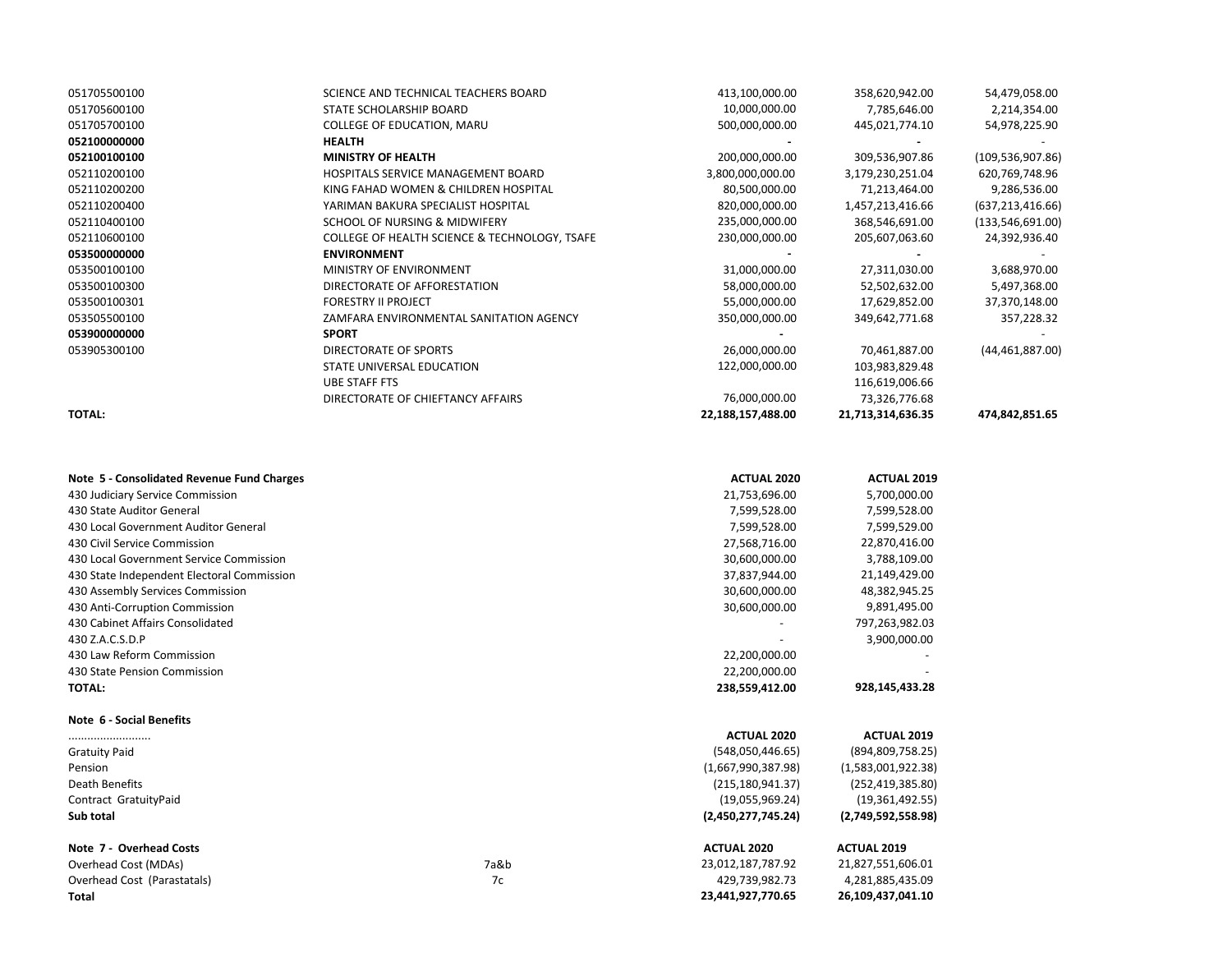| 051705500100  | SCIENCE AND TECHNICAL TEACHERS BOARD          | 413,100,000.00    | 358,620,942.00    | 54,479,058.00      |
|---------------|-----------------------------------------------|-------------------|-------------------|--------------------|
| 051705600100  | STATE SCHOLARSHIP BOARD                       | 10,000,000.00     | 7,785,646.00      | 2,214,354.00       |
| 051705700100  | COLLEGE OF EDUCATION, MARU                    | 500,000,000.00    | 445,021,774.10    | 54,978,225.90      |
| 052100000000  | <b>HEALTH</b>                                 |                   |                   |                    |
| 052100100100  | <b>MINISTRY OF HEALTH</b>                     | 200,000,000.00    | 309,536,907.86    | (109, 536, 907.86) |
| 052110200100  | <b>HOSPITALS SERVICE MANAGEMENT BOARD</b>     | 3,800,000,000.00  | 3,179,230,251.04  | 620,769,748.96     |
| 052110200200  | KING FAHAD WOMEN & CHILDREN HOSPITAL          | 80,500,000.00     | 71,213,464.00     | 9,286,536.00       |
| 052110200400  | YARIMAN BAKURA SPECIALIST HOSPITAL            | 820,000,000.00    | 1,457,213,416.66  | (637, 213, 416.66) |
| 052110400100  | SCHOOL OF NURSING & MIDWIFERY                 | 235,000,000.00    | 368,546,691.00    | (133,546,691.00)   |
| 052110600100  | COLLEGE OF HEALTH SCIENCE & TECHNOLOGY, TSAFE | 230,000,000.00    | 205,607,063.60    | 24,392,936.40      |
| 053500000000  | <b>ENVIRONMENT</b>                            |                   |                   |                    |
| 053500100100  | MINISTRY OF ENVIRONMENT                       | 31,000,000.00     | 27,311,030.00     | 3,688,970.00       |
| 053500100300  | DIRECTORATE OF AFFORESTATION                  | 58,000,000.00     | 52,502,632.00     | 5,497,368.00       |
| 053500100301  | <b>FORESTRY II PROJECT</b>                    | 55,000,000.00     | 17,629,852.00     | 37,370,148.00      |
| 053505500100  | ZAMFARA ENVIRONMENTAL SANITATION AGENCY       | 350,000,000.00    | 349,642,771.68    | 357,228.32         |
| 053900000000  | <b>SPORT</b>                                  |                   |                   |                    |
| 053905300100  | DIRECTORATE OF SPORTS                         | 26,000,000.00     | 70,461,887.00     | (44, 461, 887.00)  |
|               | STATE UNIVERSAL EDUCATION                     | 122,000,000.00    | 103,983,829.48    |                    |
|               | UBE STAFF FTS                                 |                   | 116,619,006.66    |                    |
|               | DIRECTORATE OF CHIEFTANCY AFFAIRS             | 76,000,000.00     | 73,326,776.68     |                    |
| <b>TOTAL:</b> |                                               | 22,188,157,488.00 | 21,713,314,636.35 | 474,842,851.65     |
|               |                                               |                   |                   |                    |

| Note 5 - Consolidated Revenue Fund Charges |      | <b>ACTUAL 2020</b> | <b>ACTUAL 2019</b> |
|--------------------------------------------|------|--------------------|--------------------|
| 430 Judiciary Service Commission           |      | 21,753,696.00      | 5,700,000.00       |
| 430 State Auditor General                  |      | 7,599,528.00       | 7,599,528.00       |
| 430 Local Government Auditor General       |      |                    | 7,599,529.00       |
| 430 Civil Service Commission               |      | 27,568,716.00      | 22,870,416.00      |
| 430 Local Government Service Commission    |      | 30,600,000.00      | 3,788,109.00       |
| 430 State Independent Electoral Commission |      | 37,837,944.00      | 21,149,429.00      |
| 430 Assembly Services Commission           |      | 30,600,000.00      | 48,382,945.25      |
| 430 Anti-Corruption Commission             |      | 30,600,000.00      | 9,891,495.00       |
| 430 Cabinet Affairs Consolidated           |      |                    | 797,263,982.03     |
| 430 Z.A.C.S.D.P                            |      |                    | 3,900,000.00       |
| 430 Law Reform Commission                  |      | 22,200,000.00      |                    |
| 430 State Pension Commission               |      | 22,200,000.00      |                    |
| <b>TOTAL:</b>                              |      | 238,559,412.00     | 928,145,433.28     |
| Note 6 - Social Benefits                   |      |                    |                    |
|                                            |      | <b>ACTUAL 2020</b> | <b>ACTUAL 2019</b> |
| <b>Gratuity Paid</b>                       |      | (548,050,446.65)   | (894, 809, 758.25) |
| Pension                                    |      | (1,667,990,387.98) | (1,583,001,922.38) |
| Death Benefits                             |      | (215, 180, 941.37) | (252, 419, 385.80) |
| Contract GratuityPaid                      |      | (19,055,969.24)    | (19,361,492.55)    |
| Sub total                                  |      | (2,450,277,745.24) | (2,749,592,558.98) |
| Note 7 - Overhead Costs                    |      | <b>ACTUAL 2020</b> | <b>ACTUAL 2019</b> |
| Overhead Cost (MDAs)                       | 7a&b | 23,012,187,787.92  | 21,827,551,606.01  |
| Overhead Cost (Parastatals)                | 7c   | 429,739,982.73     | 4,281,885,435.09   |
| <b>Total</b>                               |      | 23,441,927,770.65  | 26,109,437,041.10  |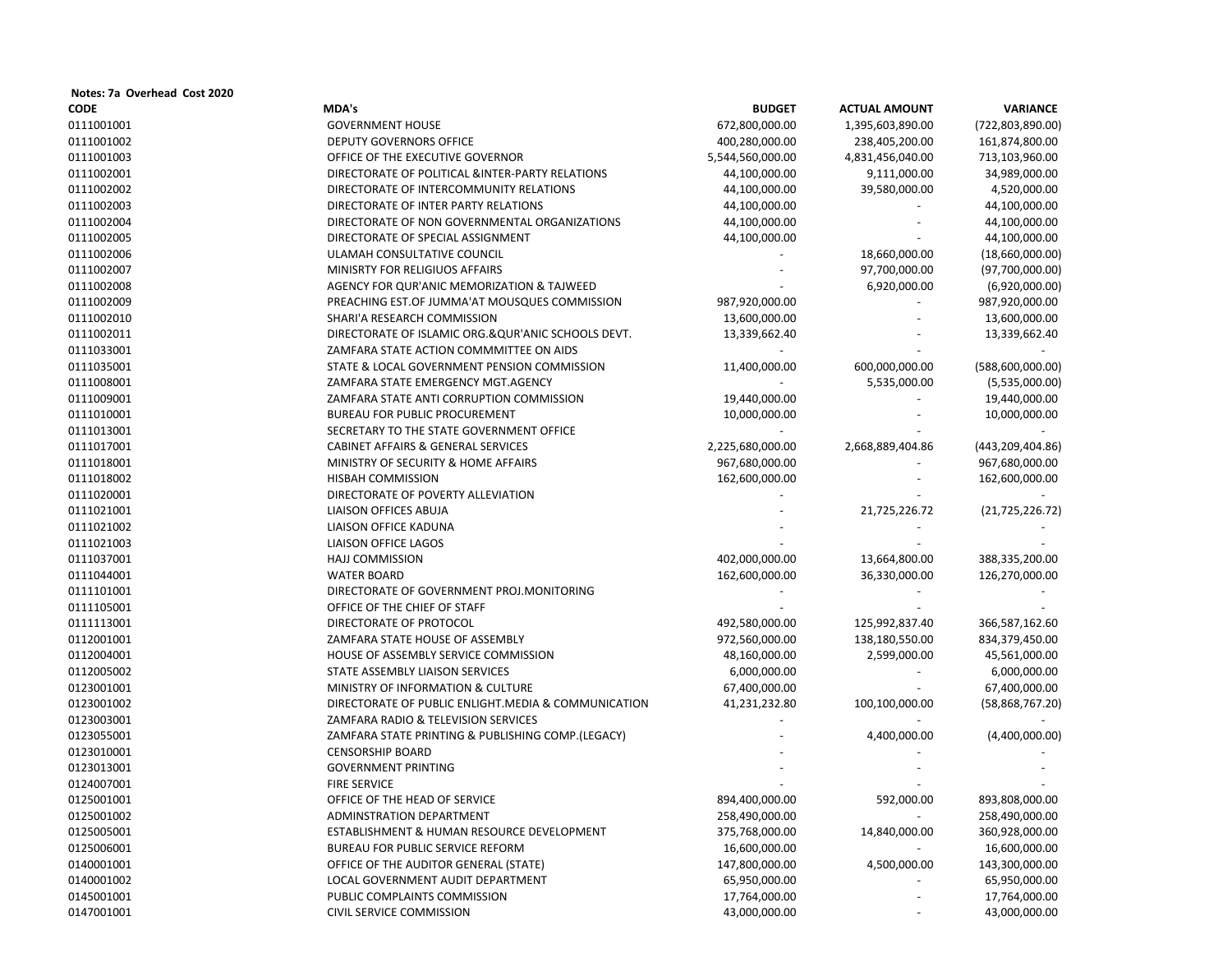| Notes: 7a Overhead Cost 2020 |                                                     |                  |                      |                    |
|------------------------------|-----------------------------------------------------|------------------|----------------------|--------------------|
| <b>CODE</b>                  | MDA's                                               | <b>BUDGET</b>    | <b>ACTUAL AMOUNT</b> | <b>VARIANCE</b>    |
| 0111001001                   | <b>GOVERNMENT HOUSE</b>                             | 672,800,000.00   | 1,395,603,890.00     | (722, 803, 890.00) |
| 0111001002                   | DEPUTY GOVERNORS OFFICE                             | 400,280,000.00   | 238,405,200.00       | 161,874,800.00     |
| 0111001003                   | OFFICE OF THE EXECUTIVE GOVERNOR                    | 5,544,560,000.00 | 4,831,456,040.00     | 713,103,960.00     |
| 0111002001                   | DIRECTORATE OF POLITICAL &INTER-PARTY RELATIONS     | 44,100,000.00    | 9,111,000.00         | 34,989,000.00      |
| 0111002002                   | DIRECTORATE OF INTERCOMMUNITY RELATIONS             | 44,100,000.00    | 39,580,000.00        | 4,520,000.00       |
| 0111002003                   | DIRECTORATE OF INTER PARTY RELATIONS                | 44,100,000.00    |                      | 44,100,000.00      |
| 0111002004                   | DIRECTORATE OF NON GOVERNMENTAL ORGANIZATIONS       | 44,100,000.00    |                      | 44,100,000.00      |
| 0111002005                   | DIRECTORATE OF SPECIAL ASSIGNMENT                   | 44,100,000.00    |                      | 44,100,000.00      |
| 0111002006                   | ULAMAH CONSULTATIVE COUNCIL                         |                  | 18,660,000.00        | (18,660,000.00)    |
| 0111002007                   | MINISRTY FOR RELIGIUOS AFFAIRS                      |                  | 97,700,000.00        | (97,700,000.00)    |
| 0111002008                   | AGENCY FOR QUR'ANIC MEMORIZATION & TAJWEED          |                  | 6,920,000.00         | (6,920,000.00)     |
| 0111002009                   | PREACHING EST.OF JUMMA'AT MOUSQUES COMMISSION       | 987,920,000.00   |                      | 987,920,000.00     |
| 0111002010                   | SHARI'A RESEARCH COMMISSION                         | 13,600,000.00    |                      | 13,600,000.00      |
| 0111002011                   | DIRECTORATE OF ISLAMIC ORG.&QUR'ANIC SCHOOLS DEVT.  | 13,339,662.40    |                      | 13,339,662.40      |
| 0111033001                   | ZAMFARA STATE ACTION COMMMITTEE ON AIDS             |                  |                      |                    |
| 0111035001                   | STATE & LOCAL GOVERNMENT PENSION COMMISSION         | 11,400,000.00    | 600,000,000.00       | (588,600,000.00)   |
| 0111008001                   | ZAMFARA STATE EMERGENCY MGT.AGENCY                  |                  | 5,535,000.00         | (5,535,000.00)     |
| 0111009001                   | ZAMFARA STATE ANTI CORRUPTION COMMISSION            | 19,440,000.00    |                      | 19,440,000.00      |
| 0111010001                   | BUREAU FOR PUBLIC PROCUREMENT                       | 10,000,000.00    |                      | 10,000,000.00      |
| 0111013001                   | SECRETARY TO THE STATE GOVERNMENT OFFICE            |                  |                      |                    |
| 0111017001                   | <b>CABINET AFFAIRS &amp; GENERAL SERVICES</b>       | 2,225,680,000.00 | 2,668,889,404.86     | (443,209,404.86)   |
| 0111018001                   | MINISTRY OF SECURITY & HOME AFFAIRS                 | 967,680,000.00   |                      | 967,680,000.00     |
| 0111018002                   | <b>HISBAH COMMISSION</b>                            | 162,600,000.00   |                      | 162,600,000.00     |
| 0111020001                   | DIRECTORATE OF POVERTY ALLEVIATION                  |                  |                      |                    |
| 0111021001                   | LIAISON OFFICES ABUJA                               |                  | 21,725,226.72        | (21, 725, 226.72)  |
| 0111021002                   | <b>LIAISON OFFICE KADUNA</b>                        |                  |                      |                    |
| 0111021003                   | <b>LIAISON OFFICE LAGOS</b>                         |                  |                      |                    |
| 0111037001                   | <b>HAJJ COMMISSION</b>                              | 402,000,000.00   |                      |                    |
|                              |                                                     |                  | 13,664,800.00        | 388,335,200.00     |
| 0111044001                   | <b>WATER BOARD</b>                                  | 162,600,000.00   | 36,330,000.00        | 126,270,000.00     |
| 0111101001                   | DIRECTORATE OF GOVERNMENT PROJ.MONITORING           |                  |                      |                    |
| 0111105001                   | OFFICE OF THE CHIEF OF STAFF                        |                  |                      |                    |
| 0111113001                   | DIRECTORATE OF PROTOCOL                             | 492,580,000.00   | 125,992,837.40       | 366,587,162.60     |
| 0112001001                   | ZAMFARA STATE HOUSE OF ASSEMBLY                     | 972,560,000.00   | 138,180,550.00       | 834,379,450.00     |
| 0112004001                   | HOUSE OF ASSEMBLY SERVICE COMMISSION                | 48,160,000.00    | 2,599,000.00         | 45,561,000.00      |
| 0112005002                   | STATE ASSEMBLY LIAISON SERVICES                     | 6,000,000.00     |                      | 6,000,000.00       |
| 0123001001                   | MINISTRY OF INFORMATION & CULTURE                   | 67,400,000.00    |                      | 67,400,000.00      |
| 0123001002                   | DIRECTORATE OF PUBLIC ENLIGHT.MEDIA & COMMUNICATION | 41,231,232.80    | 100,100,000.00       | (58,868,767.20)    |
| 0123003001                   | ZAMFARA RADIO & TELEVISION SERVICES                 |                  |                      |                    |
| 0123055001                   | ZAMFARA STATE PRINTING & PUBLISHING COMP.(LEGACY)   |                  | 4,400,000.00         | (4,400,000.00)     |
| 0123010001                   | <b>CENSORSHIP BOARD</b>                             |                  |                      |                    |
| 0123013001                   | <b>GOVERNMENT PRINTING</b>                          |                  |                      |                    |
| 0124007001                   | <b>FIRE SERVICE</b>                                 |                  |                      |                    |
| 0125001001                   | OFFICE OF THE HEAD OF SERVICE                       | 894,400,000.00   | 592,000.00           | 893,808,000.00     |
| 0125001002                   | ADMINSTRATION DEPARTMENT                            | 258,490,000.00   |                      | 258,490,000.00     |
| 0125005001                   | ESTABLISHMENT & HUMAN RESOURCE DEVELOPMENT          | 375,768,000.00   | 14,840,000.00        | 360,928,000.00     |
| 0125006001                   | <b>BUREAU FOR PUBLIC SERVICE REFORM</b>             | 16,600,000.00    |                      | 16,600,000.00      |
| 0140001001                   | OFFICE OF THE AUDITOR GENERAL (STATE)               | 147,800,000.00   | 4,500,000.00         | 143,300,000.00     |
| 0140001002                   | LOCAL GOVERNMENT AUDIT DEPARTMENT                   | 65,950,000.00    |                      | 65,950,000.00      |
| 0145001001                   | PUBLIC COMPLAINTS COMMISSION                        | 17,764,000.00    |                      | 17,764,000.00      |
| 0147001001                   | CIVIL SERVICE COMMISSION                            | 43,000,000.00    |                      | 43,000,000.00      |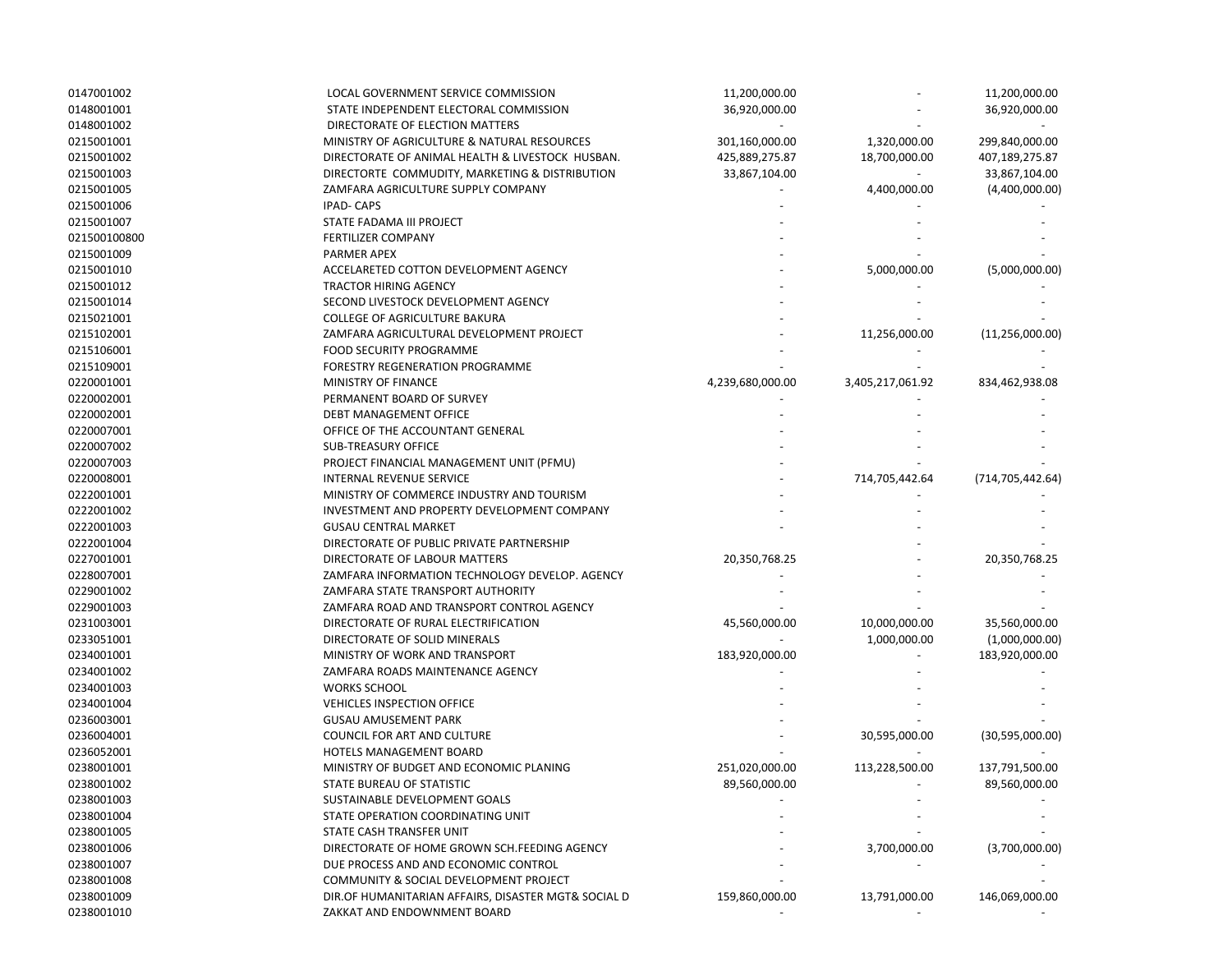| 0147001002               | LOCAL GOVERNMENT SERVICE COMMISSION                 | 11,200,000.00    |                  | 11,200,000.00      |
|--------------------------|-----------------------------------------------------|------------------|------------------|--------------------|
| 0148001001               | STATE INDEPENDENT ELECTORAL COMMISSION              | 36,920,000.00    |                  | 36,920,000.00      |
| 0148001002               | DIRECTORATE OF ELECTION MATTERS                     |                  |                  |                    |
| 0215001001               | MINISTRY OF AGRICULTURE & NATURAL RESOURCES         | 301,160,000.00   | 1,320,000.00     | 299,840,000.00     |
| 0215001002               | DIRECTORATE OF ANIMAL HEALTH & LIVESTOCK HUSBAN.    | 425,889,275.87   | 18,700,000.00    | 407,189,275.87     |
| 0215001003               | DIRECTORTE COMMUDITY, MARKETING & DISTRIBUTION      | 33,867,104.00    |                  | 33,867,104.00      |
| 0215001005               | ZAMFARA AGRICULTURE SUPPLY COMPANY                  |                  | 4,400,000.00     | (4,400,000.00)     |
| 0215001006               | <b>IPAD-CAPS</b>                                    |                  |                  |                    |
| 0215001007               | STATE FADAMA III PROJECT                            |                  |                  |                    |
| 021500100800             | <b>FERTILIZER COMPANY</b>                           |                  |                  |                    |
| 0215001009               | PARMER APEX                                         |                  |                  |                    |
| 0215001010               | ACCELARETED COTTON DEVELOPMENT AGENCY               |                  | 5,000,000.00     | (5,000,000.00)     |
| 0215001012               | <b>TRACTOR HIRING AGENCY</b>                        |                  |                  |                    |
| 0215001014               | SECOND LIVESTOCK DEVELOPMENT AGENCY                 |                  |                  |                    |
| 0215021001               | <b>COLLEGE OF AGRICULTURE BAKURA</b>                |                  |                  |                    |
| 0215102001               | ZAMFARA AGRICULTURAL DEVELOPMENT PROJECT            |                  | 11,256,000.00    | (11, 256, 000.00)  |
| 0215106001               | <b>FOOD SECURITY PROGRAMME</b>                      |                  |                  |                    |
| 0215109001               | FORESTRY REGENERATION PROGRAMME                     |                  |                  |                    |
| 0220001001               | MINISTRY OF FINANCE                                 | 4,239,680,000.00 | 3,405,217,061.92 | 834,462,938.08     |
| 0220002001               | PERMANENT BOARD OF SURVEY                           |                  |                  |                    |
| 0220002001               | <b>DEBT MANAGEMENT OFFICE</b>                       |                  |                  |                    |
| 0220007001               | OFFICE OF THE ACCOUNTANT GENERAL                    |                  |                  |                    |
| 0220007002               | <b>SUB-TREASURY OFFICE</b>                          |                  |                  |                    |
| 0220007003               | PROJECT FINANCIAL MANAGEMENT UNIT (PFMU)            |                  |                  |                    |
| 0220008001               | INTERNAL REVENUE SERVICE                            |                  | 714,705,442.64   | (714, 705, 442.64) |
| 0222001001               | MINISTRY OF COMMERCE INDUSTRY AND TOURISM           |                  |                  |                    |
| 0222001002               | INVESTMENT AND PROPERTY DEVELOPMENT COMPANY         |                  |                  |                    |
|                          | <b>GUSAU CENTRAL MARKET</b>                         |                  |                  |                    |
| 0222001003               |                                                     |                  |                  |                    |
| 0222001004               | DIRECTORATE OF PUBLIC PRIVATE PARTNERSHIP           |                  |                  |                    |
| 0227001001<br>0228007001 | DIRECTORATE OF LABOUR MATTERS                       | 20,350,768.25    |                  | 20,350,768.25      |
|                          | ZAMFARA INFORMATION TECHNOLOGY DEVELOP. AGENCY      |                  |                  |                    |
| 0229001002               | ZAMFARA STATE TRANSPORT AUTHORITY                   |                  |                  |                    |
| 0229001003               | ZAMFARA ROAD AND TRANSPORT CONTROL AGENCY           |                  |                  |                    |
| 0231003001               | DIRECTORATE OF RURAL ELECTRIFICATION                | 45,560,000.00    | 10,000,000.00    | 35,560,000.00      |
| 0233051001               | DIRECTORATE OF SOLID MINERALS                       |                  | 1,000,000.00     | (1,000,000.00)     |
| 0234001001               | MINISTRY OF WORK AND TRANSPORT                      | 183,920,000.00   |                  | 183,920,000.00     |
| 0234001002               | ZAMFARA ROADS MAINTENANCE AGENCY                    |                  |                  |                    |
| 0234001003               | <b>WORKS SCHOOL</b>                                 |                  |                  |                    |
| 0234001004               | <b>VEHICLES INSPECTION OFFICE</b>                   |                  |                  |                    |
| 0236003001               | <b>GUSAU AMUSEMENT PARK</b>                         |                  |                  |                    |
| 0236004001               | <b>COUNCIL FOR ART AND CULTURE</b>                  |                  | 30,595,000.00    | (30,595,000.00)    |
| 0236052001               | HOTELS MANAGEMENT BOARD                             |                  |                  |                    |
| 0238001001               | MINISTRY OF BUDGET AND ECONOMIC PLANING             | 251,020,000.00   | 113,228,500.00   | 137,791,500.00     |
| 0238001002               | STATE BUREAU OF STATISTIC                           | 89,560,000.00    |                  | 89,560,000.00      |
| 0238001003               | SUSTAINABLE DEVELOPMENT GOALS                       |                  |                  |                    |
| 0238001004               | STATE OPERATION COORDINATING UNIT                   |                  |                  |                    |
| 0238001005               | STATE CASH TRANSFER UNIT                            |                  |                  |                    |
| 0238001006               | DIRECTORATE OF HOME GROWN SCH. FEEDING AGENCY       |                  | 3,700,000.00     | (3,700,000.00)     |
| 0238001007               | DUE PROCESS AND AND ECONOMIC CONTROL                |                  |                  |                    |
| 0238001008               | COMMUNITY & SOCIAL DEVELOPMENT PROJECT              |                  |                  |                    |
| 0238001009               | DIR.OF HUMANITARIAN AFFAIRS, DISASTER MGT& SOCIAL D | 159,860,000.00   | 13,791,000.00    | 146,069,000.00     |
| 0238001010               | ZAKKAT AND ENDOWNMENT BOARD                         |                  |                  |                    |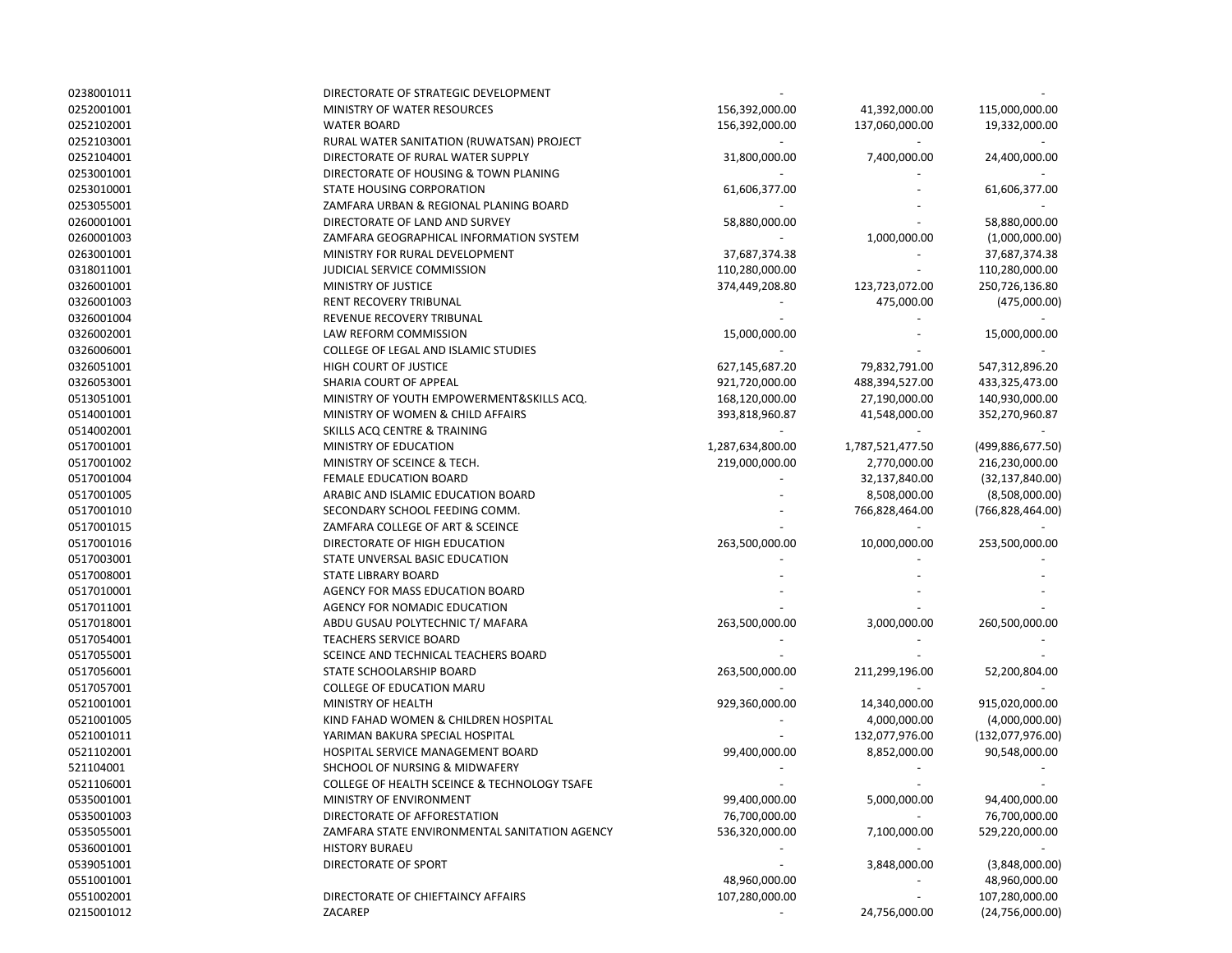| 0238001011 | DIRECTORATE OF STRATEGIC DEVELOPMENT          |                                    |                  |                    |
|------------|-----------------------------------------------|------------------------------------|------------------|--------------------|
| 0252001001 | MINISTRY OF WATER RESOURCES                   | 156,392,000.00                     | 41,392,000.00    | 115,000,000.00     |
| 0252102001 | <b>WATER BOARD</b>                            | 156,392,000.00                     | 137,060,000.00   | 19,332,000.00      |
| 0252103001 | RURAL WATER SANITATION (RUWATSAN) PROJECT     |                                    |                  |                    |
| 0252104001 | DIRECTORATE OF RURAL WATER SUPPLY             | 31,800,000.00                      | 7,400,000.00     | 24,400,000.00      |
| 0253001001 | DIRECTORATE OF HOUSING & TOWN PLANING         |                                    |                  |                    |
| 0253010001 | STATE HOUSING CORPORATION                     | 61,606,377.00                      |                  | 61,606,377.00      |
| 0253055001 | ZAMFARA URBAN & REGIONAL PLANING BOARD        |                                    |                  |                    |
| 0260001001 | DIRECTORATE OF LAND AND SURVEY                | 58,880,000.00                      |                  | 58,880,000.00      |
| 0260001003 | ZAMFARA GEOGRAPHICAL INFORMATION SYSTEM       |                                    | 1,000,000.00     | (1,000,000.00)     |
| 0263001001 | MINISTRY FOR RURAL DEVELOPMENT                | 37,687,374.38                      |                  | 37,687,374.38      |
| 0318011001 | JUDICIAL SERVICE COMMISSION                   | 110,280,000.00                     |                  | 110,280,000.00     |
| 0326001001 | MINISTRY OF JUSTICE                           | 374,449,208.80                     | 123,723,072.00   | 250,726,136.80     |
| 0326001003 | RENT RECOVERY TRIBUNAL                        |                                    | 475,000.00       | (475,000.00)       |
| 0326001004 | REVENUE RECOVERY TRIBUNAL                     |                                    |                  |                    |
| 0326002001 | LAW REFORM COMMISSION                         | 15,000,000.00                      |                  | 15,000,000.00      |
| 0326006001 | COLLEGE OF LEGAL AND ISLAMIC STUDIES          |                                    |                  |                    |
| 0326051001 | HIGH COURT OF JUSTICE                         | 627,145,687.20                     | 79,832,791.00    | 547,312,896.20     |
| 0326053001 | SHARIA COURT OF APPEAL                        | 921,720,000.00                     | 488,394,527.00   | 433,325,473.00     |
| 0513051001 | MINISTRY OF YOUTH EMPOWERMENT& SKILLS ACQ.    | 168,120,000.00                     | 27,190,000.00    | 140,930,000.00     |
| 0514001001 | MINISTRY OF WOMEN & CHILD AFFAIRS             |                                    |                  | 352,270,960.87     |
| 0514002001 | SKILLS ACQ CENTRE & TRAINING                  | 393,818,960.87                     | 41,548,000.00    |                    |
| 0517001001 | MINISTRY OF EDUCATION                         |                                    | 1,787,521,477.50 |                    |
|            | MINISTRY OF SCEINCE & TECH.                   | 1,287,634,800.00<br>219,000,000.00 |                  | (499,886,677.50)   |
| 0517001002 | <b>FEMALE EDUCATION BOARD</b>                 |                                    | 2,770,000.00     | 216,230,000.00     |
| 0517001004 |                                               |                                    | 32,137,840.00    | (32, 137, 840.00)  |
| 0517001005 | ARABIC AND ISLAMIC EDUCATION BOARD            |                                    | 8,508,000.00     | (8,508,000.00)     |
| 0517001010 | SECONDARY SCHOOL FEEDING COMM.                |                                    | 766,828,464.00   | (766, 828, 464.00) |
| 0517001015 | ZAMFARA COLLEGE OF ART & SCEINCE              |                                    |                  |                    |
| 0517001016 | DIRECTORATE OF HIGH EDUCATION                 | 263,500,000.00                     | 10,000,000.00    | 253,500,000.00     |
| 0517003001 | STATE UNVERSAL BASIC EDUCATION                |                                    |                  |                    |
| 0517008001 | <b>STATE LIBRARY BOARD</b>                    |                                    |                  |                    |
| 0517010001 | AGENCY FOR MASS EDUCATION BOARD               |                                    |                  |                    |
| 0517011001 | AGENCY FOR NOMADIC EDUCATION                  |                                    |                  |                    |
| 0517018001 | ABDU GUSAU POLYTECHNIC T/ MAFARA              | 263,500,000.00                     | 3,000,000.00     | 260,500,000.00     |
| 0517054001 | <b>TEACHERS SERVICE BOARD</b>                 |                                    |                  |                    |
| 0517055001 | SCEINCE AND TECHNICAL TEACHERS BOARD          |                                    |                  |                    |
| 0517056001 | STATE SCHOOLARSHIP BOARD                      | 263,500,000.00                     | 211,299,196.00   | 52,200,804.00      |
| 0517057001 | <b>COLLEGE OF EDUCATION MARU</b>              |                                    |                  |                    |
| 0521001001 | MINISTRY OF HEALTH                            | 929,360,000.00                     | 14,340,000.00    | 915,020,000.00     |
| 0521001005 | KIND FAHAD WOMEN & CHILDREN HOSPITAL          |                                    | 4,000,000.00     | (4,000,000.00)     |
| 0521001011 | YARIMAN BAKURA SPECIAL HOSPITAL               |                                    | 132,077,976.00   | (132,077,976.00)   |
| 0521102001 | HOSPITAL SERVICE MANAGEMENT BOARD             | 99,400,000.00                      | 8,852,000.00     | 90,548,000.00      |
| 521104001  | SHCHOOL OF NURSING & MIDWAFERY                |                                    |                  |                    |
| 0521106001 | COLLEGE OF HEALTH SCEINCE & TECHNOLOGY TSAFE  |                                    |                  |                    |
| 0535001001 | MINISTRY OF ENVIRONMENT                       | 99,400,000.00                      | 5,000,000.00     | 94,400,000.00      |
| 0535001003 | DIRECTORATE OF AFFORESTATION                  | 76,700,000.00                      |                  | 76,700,000.00      |
| 0535055001 | ZAMFARA STATE ENVIRONMENTAL SANITATION AGENCY | 536,320,000.00                     | 7,100,000.00     | 529,220,000.00     |
| 0536001001 | <b>HISTORY BURAEU</b>                         |                                    |                  |                    |
| 0539051001 | DIRECTORATE OF SPORT                          |                                    | 3,848,000.00     | (3,848,000.00)     |
| 0551001001 |                                               | 48,960,000.00                      |                  | 48,960,000.00      |
| 0551002001 | DIRECTORATE OF CHIEFTAINCY AFFAIRS            | 107,280,000.00                     |                  | 107,280,000.00     |
| 0215001012 | ZACAREP                                       |                                    | 24,756,000.00    | (24,756,000.00)    |
|            |                                               |                                    |                  |                    |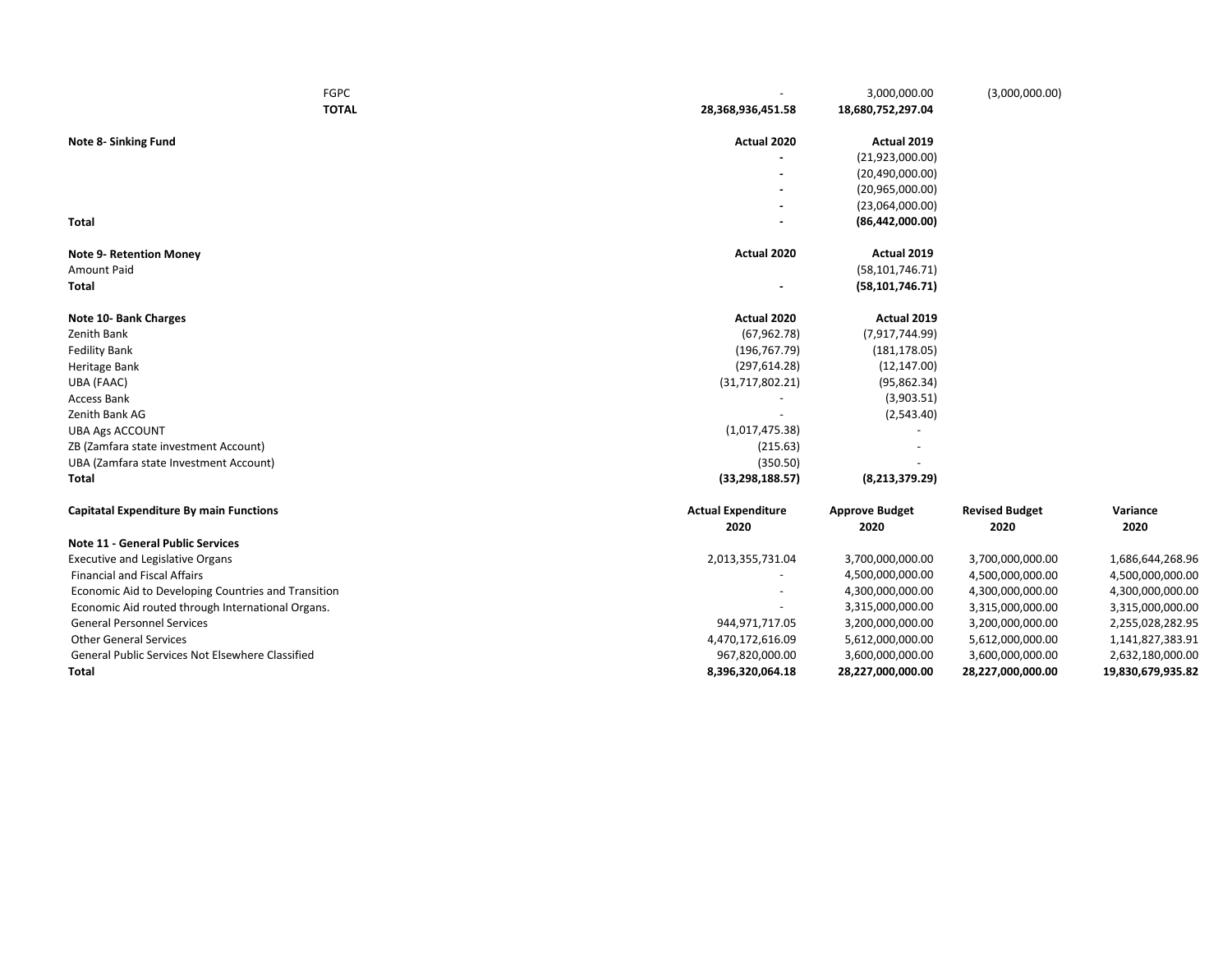| <b>FGPC</b>                                         |                           | 3,000,000.00          | (3,000,000.00)        |                   |
|-----------------------------------------------------|---------------------------|-----------------------|-----------------------|-------------------|
| <b>TOTAL</b>                                        | 28,368,936,451.58         | 18,680,752,297.04     |                       |                   |
| Note 8- Sinking Fund                                | Actual 2020               | Actual 2019           |                       |                   |
|                                                     |                           | (21,923,000.00)       |                       |                   |
|                                                     |                           | (20, 490, 000.00)     |                       |                   |
|                                                     |                           | (20,965,000.00)       |                       |                   |
|                                                     |                           | (23,064,000.00)       |                       |                   |
| <b>Total</b>                                        |                           | (86, 442, 000.00)     |                       |                   |
| <b>Note 9- Retention Money</b>                      | Actual 2020               | Actual 2019           |                       |                   |
| Amount Paid                                         |                           | (58, 101, 746.71)     |                       |                   |
| Total                                               | $\overline{\phantom{a}}$  | (58, 101, 746.71)     |                       |                   |
| Note 10- Bank Charges                               | Actual 2020               | Actual 2019           |                       |                   |
| Zenith Bank                                         | (67, 962.78)              | (7,917,744.99)        |                       |                   |
| <b>Fedility Bank</b>                                | (196, 767.79)             | (181, 178.05)         |                       |                   |
| Heritage Bank                                       | (297, 614.28)             | (12, 147.00)          |                       |                   |
| UBA (FAAC)                                          | (31, 717, 802.21)         | (95, 862.34)          |                       |                   |
| Access Bank                                         |                           | (3,903.51)            |                       |                   |
| Zenith Bank AG                                      |                           | (2,543.40)            |                       |                   |
| <b>UBA Ags ACCOUNT</b>                              | (1,017,475.38)            |                       |                       |                   |
| ZB (Zamfara state investment Account)               | (215.63)                  |                       |                       |                   |
| UBA (Zamfara state Investment Account)              | (350.50)                  |                       |                       |                   |
| Total                                               | (33, 298, 188.57)         | (8, 213, 379.29)      |                       |                   |
| <b>Capitatal Expenditure By main Functions</b>      | <b>Actual Expenditure</b> | <b>Approve Budget</b> | <b>Revised Budget</b> | Variance          |
| <b>Note 11 - General Public Services</b>            | 2020                      | 2020                  | 2020                  | 2020              |
| <b>Executive and Legislative Organs</b>             | 2,013,355,731.04          | 3,700,000,000.00      | 3,700,000,000.00      | 1,686,644,268.96  |
| <b>Financial and Fiscal Affairs</b>                 |                           | 4,500,000,000.00      | 4,500,000,000.00      | 4,500,000,000.00  |
| Economic Aid to Developing Countries and Transition |                           | 4,300,000,000.00      | 4,300,000,000.00      | 4,300,000,000.00  |
| Economic Aid routed through International Organs.   |                           | 3,315,000,000.00      | 3,315,000,000.00      | 3,315,000,000.00  |
| <b>General Personnel Services</b>                   | 944,971,717.05            | 3,200,000,000.00      | 3,200,000,000.00      | 2,255,028,282.95  |
| <b>Other General Services</b>                       | 4,470,172,616.09          | 5,612,000,000.00      | 5,612,000,000.00      | 1,141,827,383.91  |
| General Public Services Not Elsewhere Classified    | 967,820,000.00            | 3,600,000,000.00      | 3,600,000,000.00      | 2,632,180,000.00  |
| Total                                               | 8,396,320,064.18          | 28,227,000,000.00     | 28,227,000,000.00     | 19,830,679,935.82 |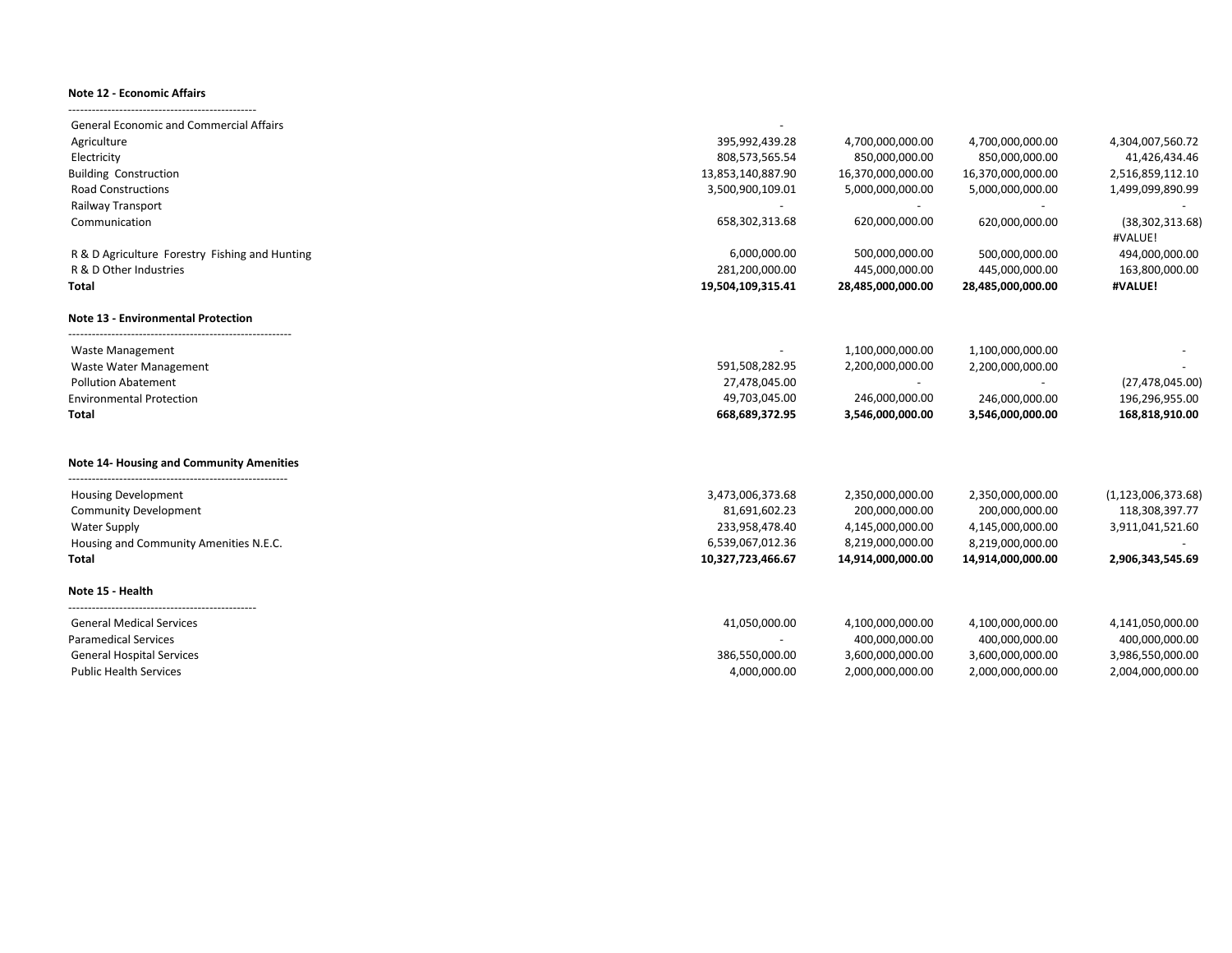## **Note 12 - Economic Affairs**

------------------------------------------------

| <b>General Economic and Commercial Affairs</b>  |                   |                   |                   |                              |
|-------------------------------------------------|-------------------|-------------------|-------------------|------------------------------|
| Agriculture                                     | 395,992,439.28    | 4,700,000,000.00  | 4,700,000,000.00  | 4,304,007,560.72             |
| Electricity                                     | 808,573,565.54    | 850,000,000.00    | 850,000,000.00    | 41,426,434.46                |
| <b>Building Construction</b>                    | 13,853,140,887.90 | 16,370,000,000.00 | 16,370,000,000.00 | 2,516,859,112.10             |
| <b>Road Constructions</b>                       | 3,500,900,109.01  | 5,000,000,000.00  | 5,000,000,000.00  | 1,499,099,890.99             |
| Railway Transport                               |                   |                   |                   |                              |
| Communication                                   | 658,302,313.68    | 620,000,000.00    | 620,000,000.00    | (38, 302, 313.68)<br>#VALUE! |
| R & D Agriculture Forestry Fishing and Hunting  | 6,000,000.00      | 500,000,000.00    | 500,000,000.00    | 494,000,000.00               |
| R & D Other Industries                          | 281,200,000.00    | 445,000,000.00    | 445,000,000.00    | 163,800,000.00               |
| Total                                           | 19,504,109,315.41 | 28,485,000,000.00 | 28,485,000,000.00 | #VALUE!                      |
| <b>Note 13 - Environmental Protection</b>       |                   |                   |                   |                              |
| <b>Waste Management</b>                         |                   | 1,100,000,000.00  | 1,100,000,000.00  |                              |
| Waste Water Management                          | 591,508,282.95    | 2,200,000,000.00  | 2,200,000,000.00  |                              |
| <b>Pollution Abatement</b>                      | 27,478,045.00     |                   |                   | (27, 478, 045.00)            |
| <b>Environmental Protection</b>                 | 49,703,045.00     | 246,000,000.00    | 246,000,000.00    | 196,296,955.00               |
| Total                                           | 668,689,372.95    | 3,546,000,000.00  | 3,546,000,000.00  | 168,818,910.00               |
| <b>Note 14- Housing and Community Amenities</b> |                   |                   |                   |                              |
| <b>Housing Development</b>                      | 3,473,006,373.68  | 2,350,000,000.00  | 2,350,000,000.00  | (1, 123, 006, 373.68)        |
| <b>Community Development</b>                    | 81,691,602.23     | 200,000,000.00    | 200,000,000.00    | 118,308,397.77               |
| <b>Water Supply</b>                             | 233,958,478.40    | 4,145,000,000.00  | 4,145,000,000.00  | 3,911,041,521.60             |
| Housing and Community Amenities N.E.C.          | 6,539,067,012.36  | 8,219,000,000.00  | 8,219,000,000.00  |                              |
| Total                                           | 10,327,723,466.67 | 14,914,000,000.00 | 14,914,000,000.00 | 2,906,343,545.69             |
| Note 15 - Health                                |                   |                   |                   |                              |
| <b>General Medical Services</b>                 | 41,050,000.00     | 4,100,000,000.00  | 4,100,000,000.00  | 4,141,050,000.00             |
| <b>Paramedical Services</b>                     | $\sim$            | 400,000,000.00    | 400,000,000.00    | 400,000,000.00               |
| <b>General Hospital Services</b>                | 386,550,000.00    | 3,600,000,000.00  | 3,600,000,000.00  | 3,986,550,000.00             |
| <b>Public Health Services</b>                   | 4,000,000.00      | 2,000,000,000.00  | 2,000,000,000.00  | 2,004,000,000.00             |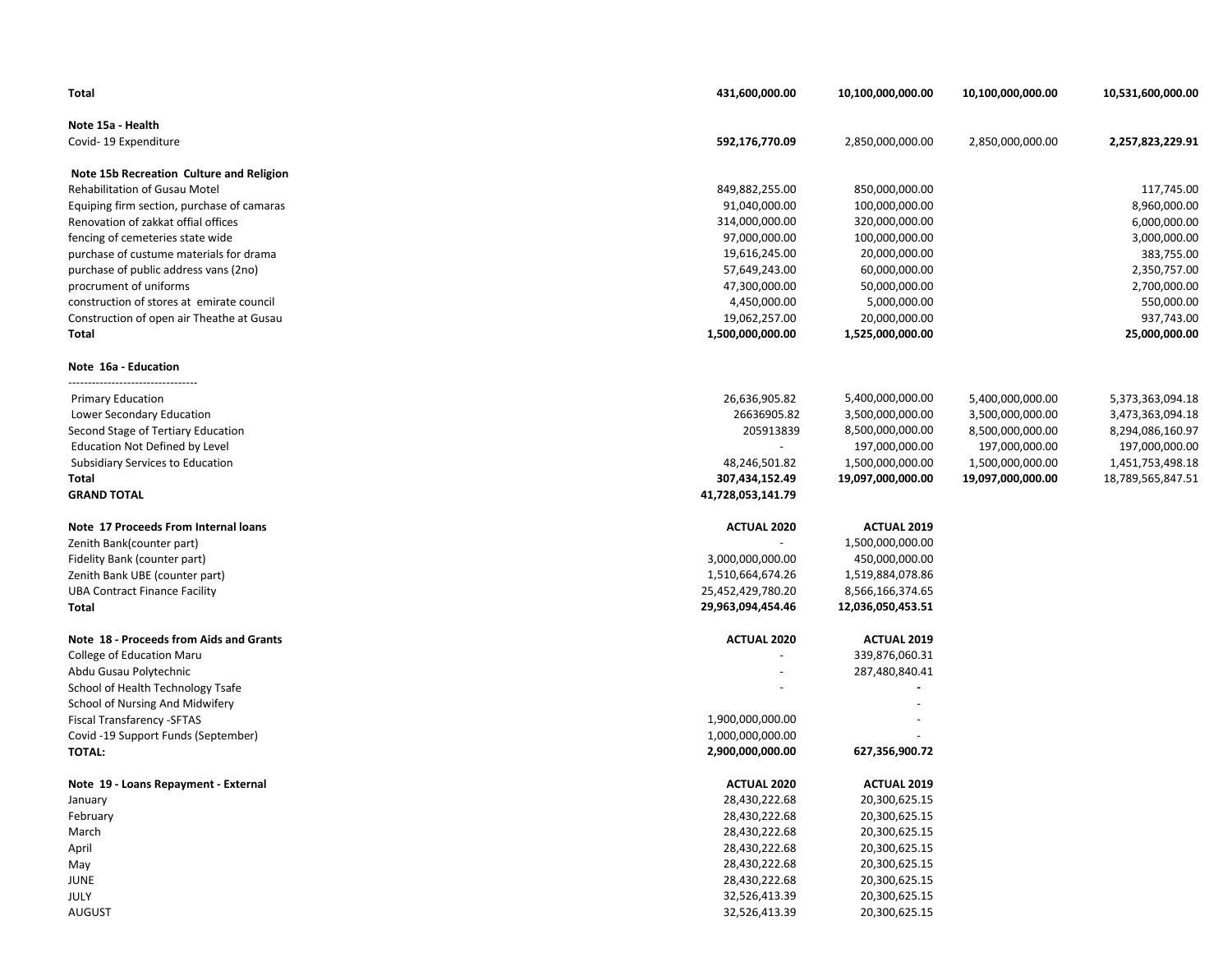| Total                                      | 431,600,000.00           | 10,100,000,000.00  | 10,100,000,000.00 | 10,531,600,000.00 |
|--------------------------------------------|--------------------------|--------------------|-------------------|-------------------|
| Note 15a - Health                          |                          |                    |                   |                   |
| Covid-19 Expenditure                       | 592,176,770.09           | 2,850,000,000.00   | 2,850,000,000.00  | 2,257,823,229.91  |
| Note 15b Recreation Culture and Religion   |                          |                    |                   |                   |
| Rehabilitation of Gusau Motel              | 849,882,255.00           | 850,000,000.00     |                   | 117,745.00        |
| Equiping firm section, purchase of camaras | 91,040,000.00            | 100,000,000.00     |                   | 8,960,000.00      |
| Renovation of zakkat offial offices        | 314,000,000.00           | 320,000,000.00     |                   | 6,000,000.00      |
| fencing of cemeteries state wide           | 97,000,000.00            | 100,000,000.00     |                   | 3,000,000.00      |
| purchase of custume materials for drama    | 19,616,245.00            | 20,000,000.00      |                   | 383,755.00        |
| purchase of public address vans (2no)      | 57,649,243.00            | 60,000,000.00      |                   | 2,350,757.00      |
| procrument of uniforms                     | 47,300,000.00            | 50,000,000.00      |                   | 2,700,000.00      |
| construction of stores at emirate council  | 4,450,000.00             | 5,000,000.00       |                   | 550,000.00        |
| Construction of open air Theathe at Gusau  | 19,062,257.00            | 20,000,000.00      |                   | 937,743.00        |
| <b>Total</b>                               | 1,500,000,000.00         | 1,525,000,000.00   |                   | 25,000,000.00     |
| Note 16a - Education                       |                          |                    |                   |                   |
| <b>Primary Education</b>                   | 26,636,905.82            | 5,400,000,000.00   | 5,400,000,000.00  | 5,373,363,094.18  |
| Lower Secondary Education                  | 26636905.82              | 3,500,000,000.00   | 3,500,000,000.00  | 3,473,363,094.18  |
| Second Stage of Tertiary Education         | 205913839                | 8,500,000,000.00   | 8,500,000,000.00  | 8,294,086,160.97  |
| <b>Education Not Defined by Level</b>      | $\overline{\phantom{a}}$ | 197,000,000.00     | 197,000,000.00    | 197,000,000.00    |
| Subsidiary Services to Education           | 48,246,501.82            | 1,500,000,000.00   | 1,500,000,000.00  | 1,451,753,498.18  |
| Total                                      | 307,434,152.49           | 19,097,000,000.00  | 19,097,000,000.00 | 18,789,565,847.51 |
| <b>GRAND TOTAL</b>                         | 41,728,053,141.79        |                    |                   |                   |
| Note 17 Proceeds From Internal loans       | <b>ACTUAL 2020</b>       | <b>ACTUAL 2019</b> |                   |                   |
| Zenith Bank(counter part)                  |                          | 1,500,000,000.00   |                   |                   |
| Fidelity Bank (counter part)               | 3,000,000,000.00         | 450,000,000.00     |                   |                   |
| Zenith Bank UBE (counter part)             | 1,510,664,674.26         | 1,519,884,078.86   |                   |                   |
| <b>UBA Contract Finance Facility</b>       | 25,452,429,780.20        | 8,566,166,374.65   |                   |                   |
| Total                                      | 29,963,094,454.46        | 12,036,050,453.51  |                   |                   |
| Note 18 - Proceeds from Aids and Grants    | <b>ACTUAL 2020</b>       | <b>ACTUAL 2019</b> |                   |                   |
| College of Education Maru                  |                          | 339,876,060.31     |                   |                   |
| Abdu Gusau Polytechnic                     |                          | 287,480,840.41     |                   |                   |
| School of Health Technology Tsafe          |                          |                    |                   |                   |
| School of Nursing And Midwifery            |                          |                    |                   |                   |
| Fiscal Transfarency - SFTAS                | 1,900,000,000.00         |                    |                   |                   |
| Covid -19 Support Funds (September)        | 1,000,000,000.00         |                    |                   |                   |
| <b>TOTAL:</b>                              | 2,900,000,000.00         | 627,356,900.72     |                   |                   |
| Note 19 - Loans Repayment - External       | <b>ACTUAL 2020</b>       | ACTUAL 2019        |                   |                   |
| January                                    | 28,430,222.68            | 20,300,625.15      |                   |                   |
| February                                   | 28,430,222.68            | 20,300,625.15      |                   |                   |
| March                                      | 28,430,222.68            | 20,300,625.15      |                   |                   |
| April                                      | 28,430,222.68            | 20,300,625.15      |                   |                   |
| May                                        | 28,430,222.68            | 20,300,625.15      |                   |                   |
| <b>JUNE</b>                                | 28,430,222.68            | 20,300,625.15      |                   |                   |
| JULY                                       | 32,526,413.39            | 20,300,625.15      |                   |                   |
| <b>AUGUST</b>                              | 32,526,413.39            | 20,300,625.15      |                   |                   |